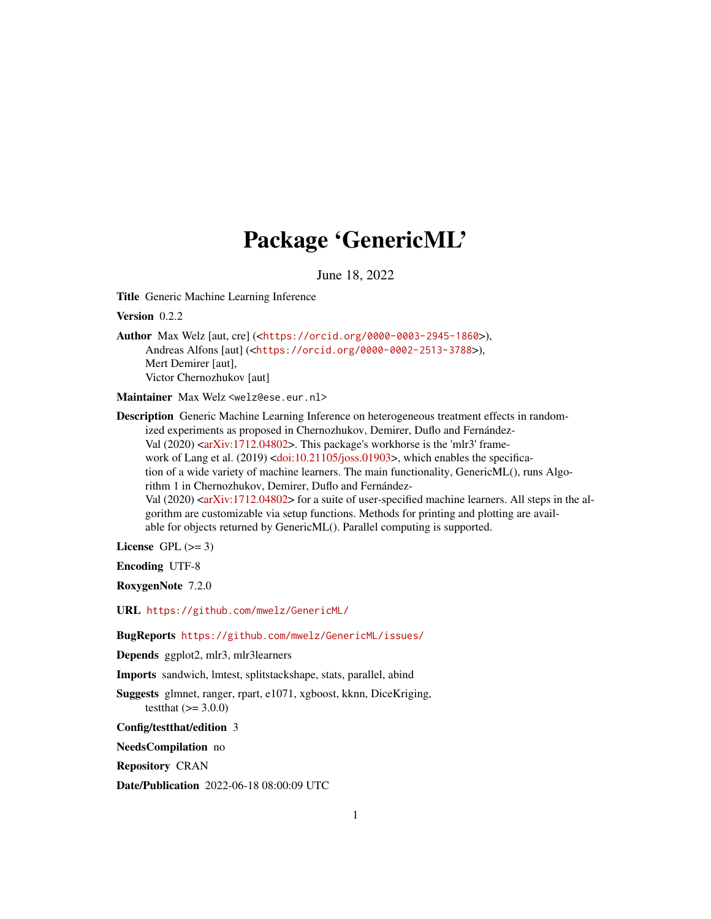# Package 'GenericML'

June 18, 2022

<span id="page-0-0"></span>Title Generic Machine Learning Inference

Version 0.2.2

Author Max Welz [aut, cre] (<<https://orcid.org/0000-0003-2945-1860>>), Andreas Alfons [aut] (<<https://orcid.org/0000-0002-2513-3788>>), Mert Demirer [aut], Victor Chernozhukov [aut]

Maintainer Max Welz <welz@ese.eur.nl>

Description Generic Machine Learning Inference on heterogeneous treatment effects in randomized experiments as proposed in Chernozhukov, Demirer, Duflo and Fernández-Val (2020) [<arXiv:1712.04802>](https://arxiv.org/abs/1712.04802). This package's workhorse is the 'mlr3' frame-work of Lang et al. (2019) [<doi:10.21105/joss.01903>](https://doi.org/10.21105/joss.01903), which enables the specification of a wide variety of machine learners. The main functionality, GenericML(), runs Algorithm 1 in Chernozhukov, Demirer, Duflo and Fernández-Val  $(2020)$   $\leq$ arXiv:1712.04802> for a suite of user-specified machine learners. All steps in the algorithm are customizable via setup functions. Methods for printing and plotting are available for objects returned by GenericML(). Parallel computing is supported.

License GPL  $(>= 3)$ 

Encoding UTF-8

RoxygenNote 7.2.0

URL <https://github.com/mwelz/GenericML/>

BugReports <https://github.com/mwelz/GenericML/issues/>

Depends ggplot2, mlr3, mlr3learners

Imports sandwich, lmtest, splitstackshape, stats, parallel, abind

Suggests glmnet, ranger, rpart, e1071, xgboost, kknn, DiceKriging, testthat  $(>= 3.0.0)$ 

Config/testthat/edition 3

NeedsCompilation no

Repository CRAN

Date/Publication 2022-06-18 08:00:09 UTC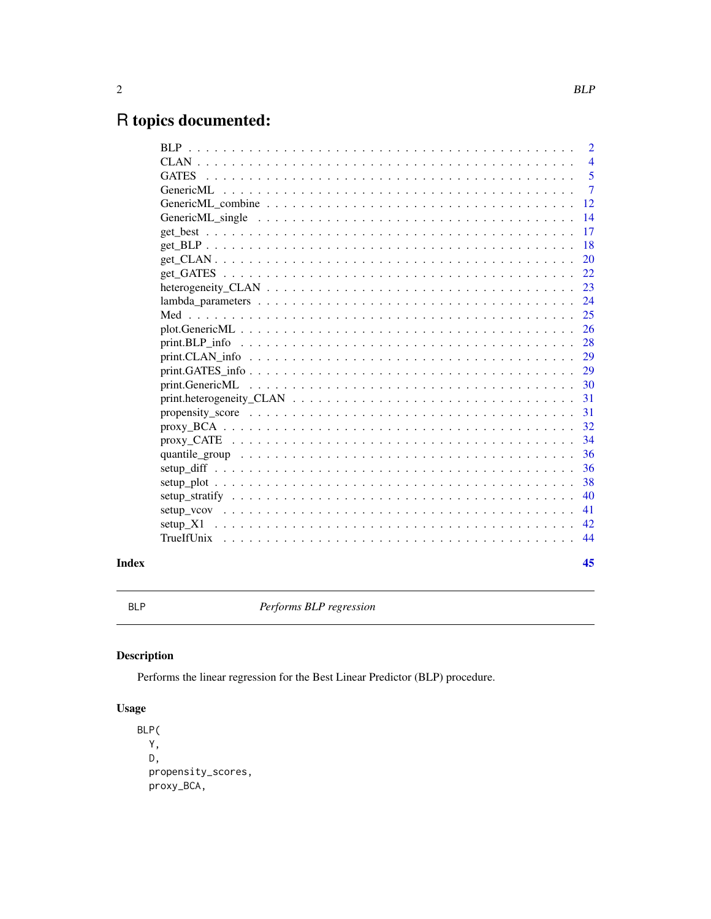# <span id="page-1-0"></span>R topics documented:

|       |                                                                                                               | $\overline{2}$ |
|-------|---------------------------------------------------------------------------------------------------------------|----------------|
|       |                                                                                                               | $\overline{4}$ |
|       |                                                                                                               | 5              |
|       | GenericML                                                                                                     | $\overline{7}$ |
|       |                                                                                                               | 12             |
|       | GenericML single $\ldots \ldots \ldots \ldots \ldots \ldots \ldots \ldots \ldots \ldots \ldots \ldots \ldots$ | 14             |
|       |                                                                                                               | 17             |
|       |                                                                                                               | 18             |
|       |                                                                                                               | 20             |
|       |                                                                                                               | 22             |
|       |                                                                                                               | 23             |
|       |                                                                                                               | 24             |
|       |                                                                                                               | 25             |
|       |                                                                                                               | 26             |
|       |                                                                                                               | 28             |
|       |                                                                                                               | 29             |
|       |                                                                                                               | 29             |
|       |                                                                                                               | 30             |
|       |                                                                                                               | 31             |
|       |                                                                                                               | 31             |
|       |                                                                                                               | 32             |
|       |                                                                                                               | 34             |
|       |                                                                                                               | 36             |
|       |                                                                                                               | 36             |
|       |                                                                                                               | 38             |
|       |                                                                                                               | 40             |
|       |                                                                                                               | 41             |
|       |                                                                                                               | 42             |
|       |                                                                                                               | 44             |
| Index |                                                                                                               | 45             |

<span id="page-1-1"></span>BLP *Performs BLP regression*

# Description

Performs the linear regression for the Best Linear Predictor (BLP) procedure.

# Usage

```
BLP(
 Y,
 D,
 propensity_scores,
 proxy_BCA,
```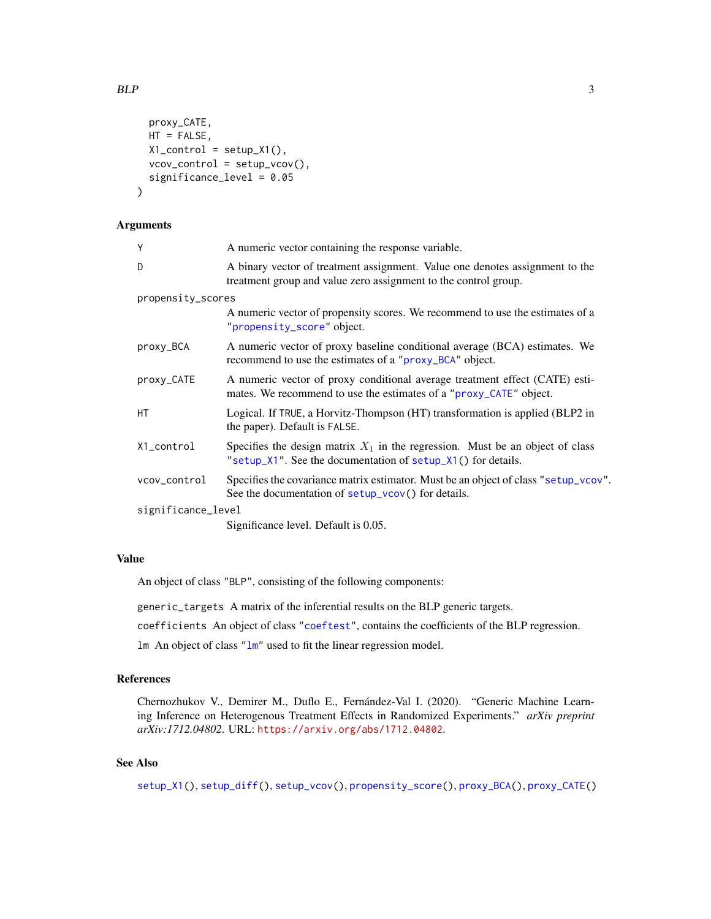```
proxy_CATE,
 HT = FALSE,X1_control = setup_X1(),
 vcov_control = setup_vcov(),
 significance_level = 0.05
)
```
# Arguments

| Y                  | A numeric vector containing the response variable.                                                                                                |
|--------------------|---------------------------------------------------------------------------------------------------------------------------------------------------|
| D                  | A binary vector of treatment assignment. Value one denotes assignment to the<br>treatment group and value zero assignment to the control group.   |
| propensity_scores  |                                                                                                                                                   |
|                    | A numeric vector of propensity scores. We recommend to use the estimates of a<br>"propensity_score" object.                                       |
| proxy_BCA          | A numeric vector of proxy baseline conditional average (BCA) estimates. We<br>recommend to use the estimates of a "proxy_BCA" object.             |
| proxy_CATE         | A numeric vector of proxy conditional average treatment effect (CATE) esti-<br>mates. We recommend to use the estimates of a "proxy_CATE" object. |
| НT                 | Logical. If TRUE, a Horvitz-Thompson (HT) transformation is applied (BLP2 in<br>the paper). Default is FALSE.                                     |
| X1_control         | Specifies the design matrix $X_1$ in the regression. Must be an object of class<br>"setup_X1". See the documentation of setup_X1() for details.   |
| vcov_control       | Specifies the covariance matrix estimator. Must be an object of class "setup_vcov".<br>See the documentation of setup_vcov() for details.         |
| significance_level |                                                                                                                                                   |
|                    | Significance level. Default is 0.05.                                                                                                              |

# Value

An object of class "BLP", consisting of the following components:

generic\_targets A matrix of the inferential results on the BLP generic targets.

coefficients An object of class ["coeftest"](#page-0-0), contains the coefficients of the BLP regression.

lm An object of class ["lm"](#page-0-0) used to fit the linear regression model.

# References

Chernozhukov V., Demirer M., Duflo E., Fernández-Val I. (2020). "Generic Machine Learning Inference on Heterogenous Treatment Effects in Randomized Experiments." *arXiv preprint arXiv:1712.04802*. URL: <https://arxiv.org/abs/1712.04802>.

# See Also

[setup\\_X1\(](#page-41-1)), [setup\\_diff\(](#page-35-1)), [setup\\_vcov\(](#page-40-1)), [propensity\\_score\(](#page-30-1)), [proxy\\_BCA\(](#page-31-1)), [proxy\\_CATE\(](#page-33-1))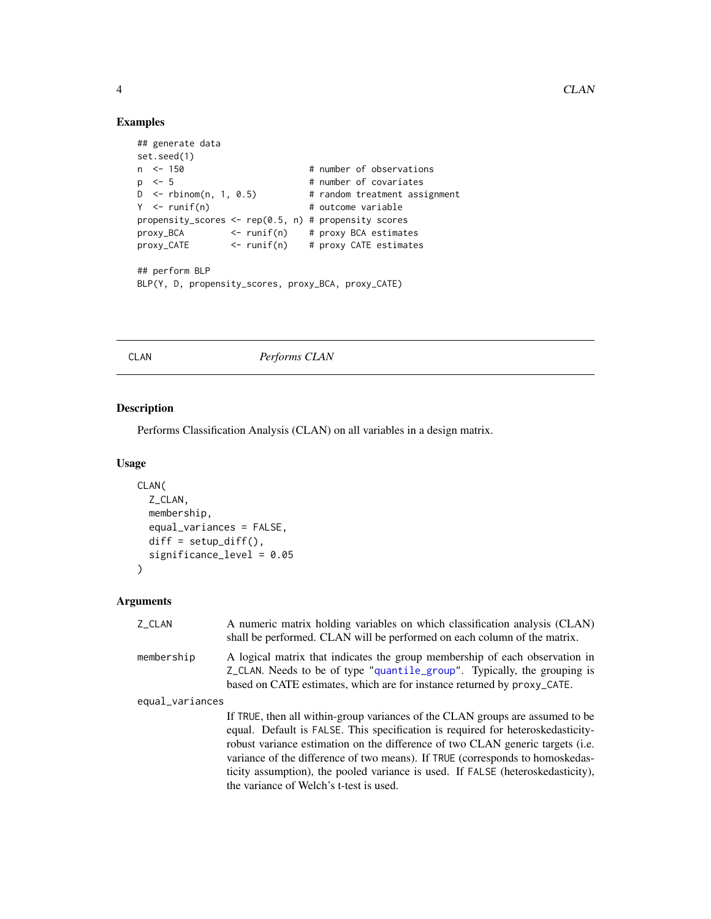# Examples

```
## generate data
set.seed(1)
n <- 150 # number of observations
p <- 5 # number of covariates<br>D <- rbinom(n, 1, 0.5) # random treatment ass
D <- rbinom(n, 1, 0.5) # random treatment assignment<br>Y <- runif(n) # outcome variable
                                # outcome variable
propensity_scores <- rep(0.5, n) # propensity scores
proxy_BCA <- runif(n) # proxy BCA estimates
proxy_CATE <- runif(n) # proxy CATE estimates
## perform BLP
BLP(Y, D, propensity_scores, proxy_BCA, proxy_CATE)
```
<span id="page-3-1"></span>CLAN *Performs CLAN*

# Description

Performs Classification Analysis (CLAN) on all variables in a design matrix.

#### Usage

```
CLAN(
  Z_CLAN,
  membership,
  equal_variances = FALSE,
  diff = setup\_diff(),
  significance_level = 0.05
\mathcal{L}
```
# Arguments

| Z_CLAN          | A numeric matrix holding variables on which classification analysis (CLAN)<br>shall be performed. CLAN will be performed on each column of the matrix.                                                                                                                                                                                                                                                                                                            |
|-----------------|-------------------------------------------------------------------------------------------------------------------------------------------------------------------------------------------------------------------------------------------------------------------------------------------------------------------------------------------------------------------------------------------------------------------------------------------------------------------|
| membership      | A logical matrix that indicates the group membership of each observation in<br>Z_CLAN. Needs to be of type "quantile_group". Typically, the grouping is<br>based on CATE estimates, which are for instance returned by proxy_CATE.                                                                                                                                                                                                                                |
| equal_variances |                                                                                                                                                                                                                                                                                                                                                                                                                                                                   |
|                 | If TRUE, then all within-group variances of the CLAN groups are assumed to be<br>equal. Default is FALSE. This specification is required for heteroskedasticity-<br>robust variance estimation on the difference of two CLAN generic targets (i.e.<br>variance of the difference of two means). If TRUE (corresponds to homoskedas-<br>ticity assumption), the pooled variance is used. If FALSE (heteroskedasticity),<br>the variance of Welch's t-test is used. |

<span id="page-3-0"></span>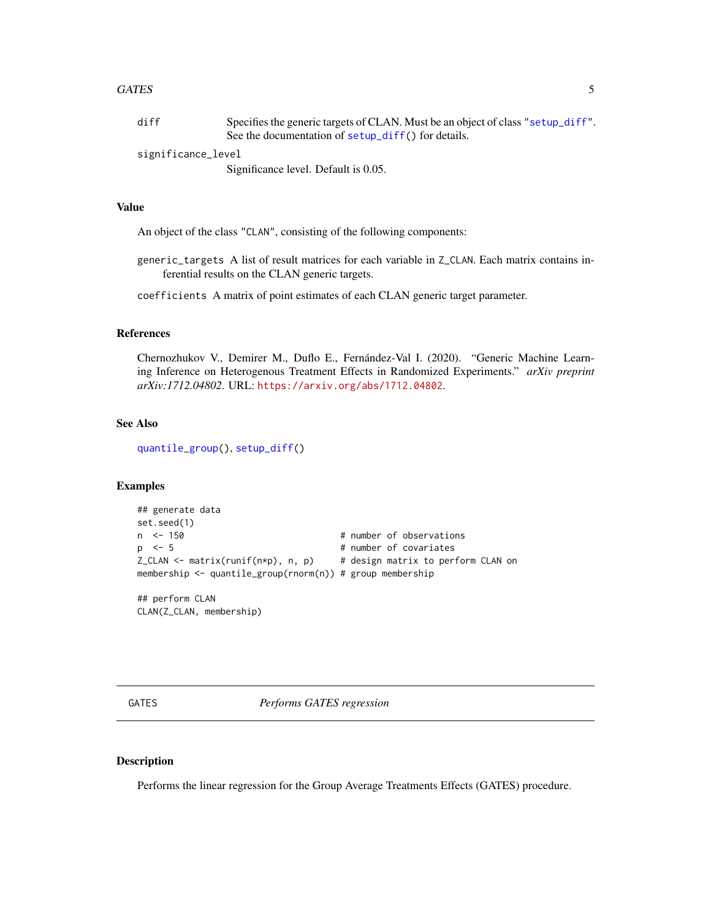#### <span id="page-4-0"></span>GATES 5

| diff               | Specifies the generic targets of CLAN. Must be an object of class "setup_diff". |
|--------------------|---------------------------------------------------------------------------------|
|                    | See the documentation of setup_diff() for details.                              |
| significance_level |                                                                                 |

Significance level. Default is 0.05.

#### Value

An object of the class "CLAN", consisting of the following components:

generic\_targets A list of result matrices for each variable in Z\_CLAN. Each matrix contains inferential results on the CLAN generic targets.

coefficients A matrix of point estimates of each CLAN generic target parameter.

# References

Chernozhukov V., Demirer M., Duflo E., Fernández-Val I. (2020). "Generic Machine Learning Inference on Heterogenous Treatment Effects in Randomized Experiments." *arXiv preprint arXiv:1712.04802*. URL: <https://arxiv.org/abs/1712.04802>.

# See Also

[quantile\\_group\(](#page-35-2)), [setup\\_diff\(](#page-35-1))

# Examples

```
## generate data
set.seed(1)
n <- 150 + number of observations
p \le -5 # number of covariates
Z_{\text{CLAN}} <- matrix(runif(n*p), n, p) # design matrix to perform CLAN on
membership <- quantile_group(rnorm(n)) # group membership
```
## perform CLAN CLAN(Z\_CLAN, membership)

<span id="page-4-1"></span>GATES *Performs GATES regression*

# Description

Performs the linear regression for the Group Average Treatments Effects (GATES) procedure.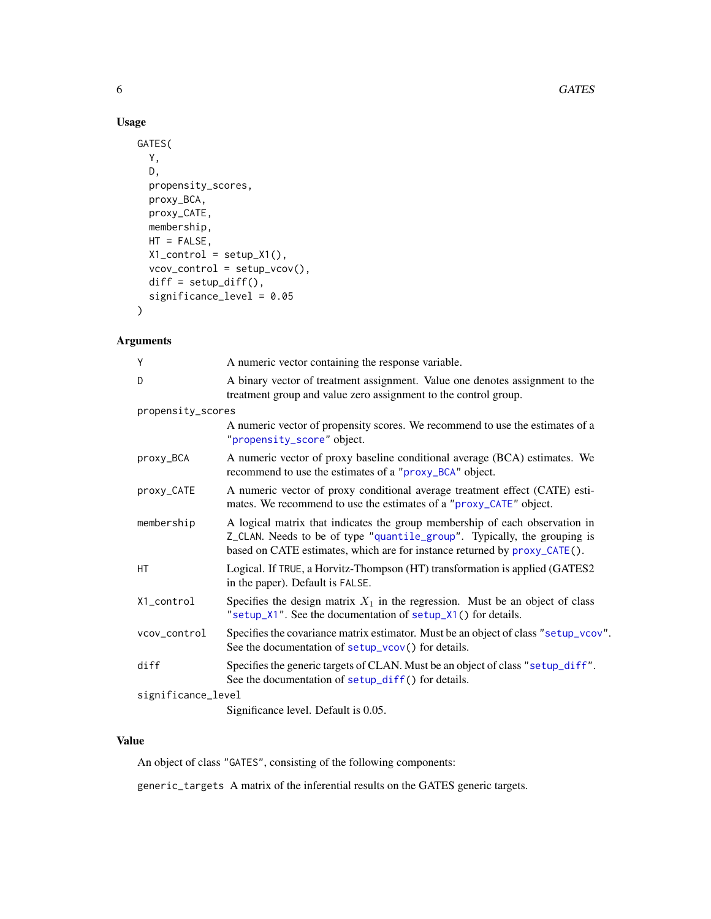# Usage

```
GATES(
 Y,
 D,
 propensity_scores,
 proxy_BCA,
 proxy_CATE,
 membership,
 HT = FALSE,X1_control = setup_X1(),
  vcov_{control} = setup_{vcov}(,
 diff = setup\_diff(),
  significance_level = 0.05
)
```
# Arguments

| Y                  | A numeric vector containing the response variable.                                                                                                                                                                                   |
|--------------------|--------------------------------------------------------------------------------------------------------------------------------------------------------------------------------------------------------------------------------------|
| D                  | A binary vector of treatment assignment. Value one denotes assignment to the<br>treatment group and value zero assignment to the control group.                                                                                      |
| propensity_scores  |                                                                                                                                                                                                                                      |
|                    | A numeric vector of propensity scores. We recommend to use the estimates of a<br>"propensity_score" object.                                                                                                                          |
| proxy_BCA          | A numeric vector of proxy baseline conditional average (BCA) estimates. We<br>recommend to use the estimates of a "proxy_BCA" object.                                                                                                |
| proxy_CATE         | A numeric vector of proxy conditional average treatment effect (CATE) esti-<br>mates. We recommend to use the estimates of a "proxy_CATE" object.                                                                                    |
| membership         | A logical matrix that indicates the group membership of each observation in<br>Z_CLAN. Needs to be of type "quantile_group". Typically, the grouping is<br>based on CATE estimates, which are for instance returned by proxy_CATE(). |
| HT                 | Logical. If TRUE, a Horvitz-Thompson (HT) transformation is applied (GATES2<br>in the paper). Default is FALSE.                                                                                                                      |
| X1_control         | Specifies the design matrix $X_1$ in the regression. Must be an object of class<br>"setup_X1". See the documentation of setup_X1() for details.                                                                                      |
| vcov_control       | Specifies the covariance matrix estimator. Must be an object of class "setup_vcov".<br>See the documentation of setup_vcov() for details.                                                                                            |
| diff               | Specifies the generic targets of CLAN. Must be an object of class "setup_diff".<br>See the documentation of setup_diff() for details.                                                                                                |
| significance_level |                                                                                                                                                                                                                                      |
|                    | Significance level. Default is 0.05.                                                                                                                                                                                                 |

# Value

An object of class "GATES", consisting of the following components:

generic\_targets A matrix of the inferential results on the GATES generic targets.

<span id="page-5-0"></span>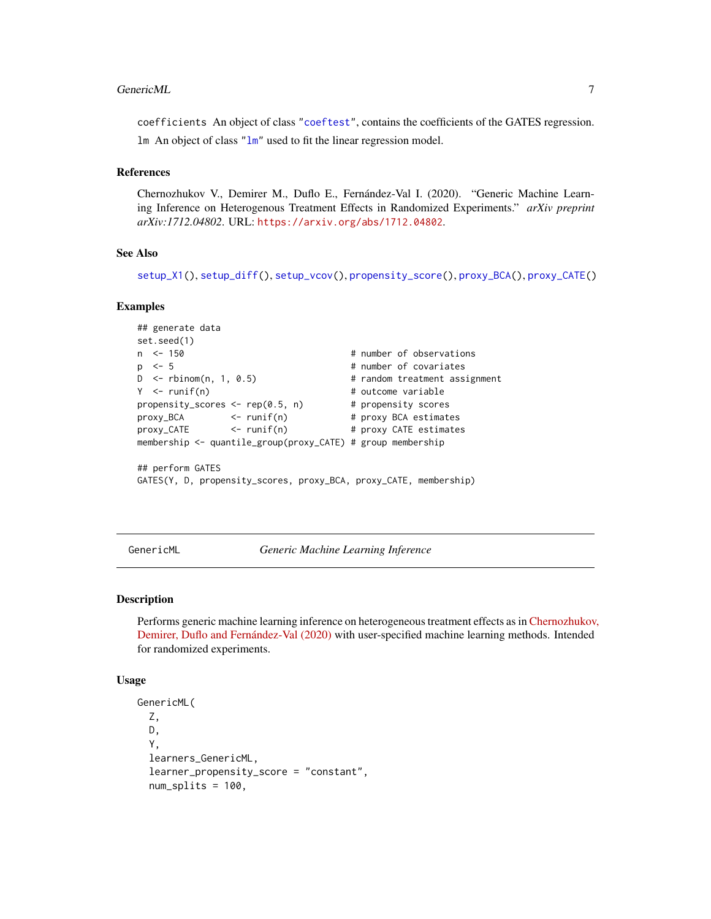#### <span id="page-6-0"></span>GenericML 7

coefficients An object of class ["coeftest"](#page-0-0), contains the coefficients of the GATES regression. lm An object of class ["lm"](#page-0-0) used to fit the linear regression model.

# References

Chernozhukov V., Demirer M., Duflo E., Fernández-Val I. (2020). "Generic Machine Learning Inference on Heterogenous Treatment Effects in Randomized Experiments." *arXiv preprint arXiv:1712.04802*. URL: <https://arxiv.org/abs/1712.04802>.

# See Also

```
setup_X1(), setup_diff(), setup_vcov(), propensity_score(), proxy_BCA(), proxy_CATE()
```
# Examples

```
## generate data
set.seed(1)
n <- 150 + number of observations
p \le -5 # number of covariates
D <- rbinom(n, 1, 0.5) # random treatment assignment
Y <- runif(n) # outcome variable
propensity_scores \leq rep(0.5, n) # propensity scores
proxy_BCA <- runif(n) # proxy BCA estimates
proxy_CATE <- runif(n) # proxy CATE estimates
membership <- quantile_group(proxy_CATE) # group membership
## perform GATES
GATES(Y, D, propensity_scores, proxy_BCA, proxy_CATE, membership)
```
<span id="page-6-1"></span>GenericML *Generic Machine Learning Inference*

#### Description

Performs generic machine learning inference on heterogeneous treatment effects as in [Chernozhukov](https://arxiv.org/abs/1712.04802), [Demirer, Duflo and Fernández-Val \(2020\)](https://arxiv.org/abs/1712.04802) with user-specified machine learning methods. Intended for randomized experiments.

#### Usage

```
GenericML(
  Z,
 D,
  Y,
  learners_GenericML,
  learner_propensity_score = "constant",
  num_splits = 100,
```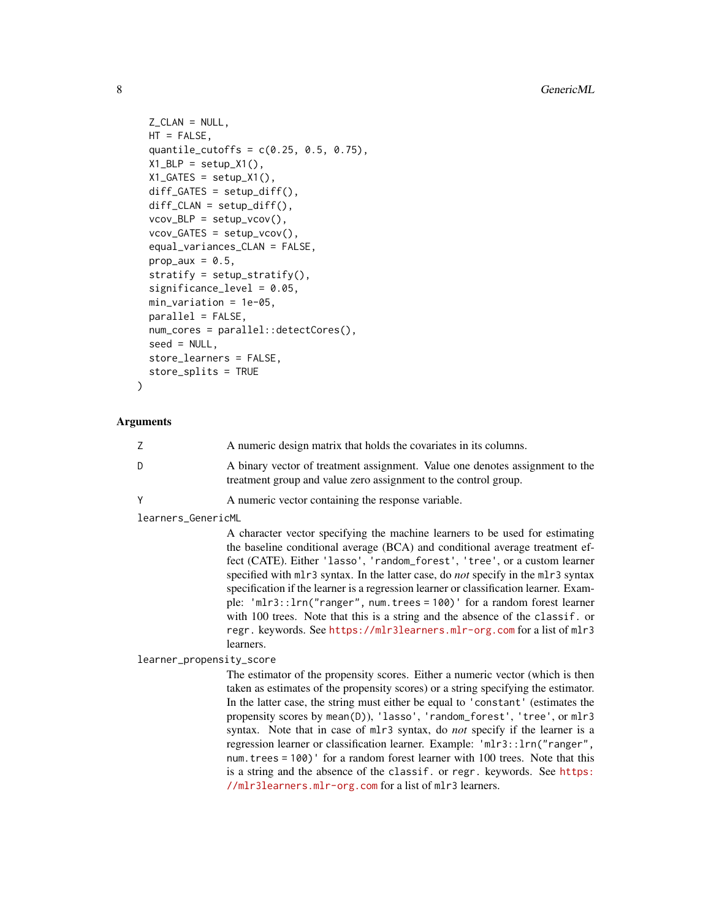```
Z<sub>_C</sub>LAN = NULL,
 HT = FALSE,
  quantile_cutoffs = c(0.25, 0.5, 0.75),
 X1_BLP = setup_X1(),
  X1_GATES = setup_X1(),
  diff_GATES = setup_diff(),
  diff_CLAN = setup\_diff(),vcov_BLP = setup_vcov(),vcov_GATES = setup_vcov(),
  equal_variances_CLAN = FALSE,
 prop_aux = 0.5,
  stratify = setup\_stratify(),significance_level = 0.05,
 min\_variation = 1e-05,
 parallel = FALSE,
  num_cores = parallel::detectCores(),
  seed = NULL,
  store_learners = FALSE,
  store_splits = TRUE
)
```
# Arguments

|    | A numeric design matrix that holds the covariates in its columns.            |
|----|------------------------------------------------------------------------------|
| D. | A binary vector of treatment assignment. Value one denotes assignment to the |
|    | treatment group and value zero assignment to the control group.              |

# Y A numeric vector containing the response variable.

learners\_GenericML

A character vector specifying the machine learners to be used for estimating the baseline conditional average (BCA) and conditional average treatment effect (CATE). Either 'lasso', 'random\_forest', 'tree', or a custom learner specified with mlr3 syntax. In the latter case, do *not* specify in the mlr3 syntax specification if the learner is a regression learner or classification learner. Example: 'mlr3::lrn("ranger", num.trees = 100)' for a random forest learner with 100 trees. Note that this is a string and the absence of the classif. or regr. keywords. See <https://mlr3learners.mlr-org.com> for a list of mlr3 learners.

#### learner\_propensity\_score

The estimator of the propensity scores. Either a numeric vector (which is then taken as estimates of the propensity scores) or a string specifying the estimator. In the latter case, the string must either be equal to 'constant' (estimates the propensity scores by mean(D)), 'lasso', 'random\_forest', 'tree', or mlr3 syntax. Note that in case of mlr3 syntax, do *not* specify if the learner is a regression learner or classification learner. Example: 'mlr3::lrn("ranger", num.trees = 100)' for a random forest learner with 100 trees. Note that this is a string and the absence of the classif. or regr. keywords. See [https:](https://mlr3learners.mlr-org.com) [//mlr3learners.mlr-org.com](https://mlr3learners.mlr-org.com) for a list of mlr3 learners.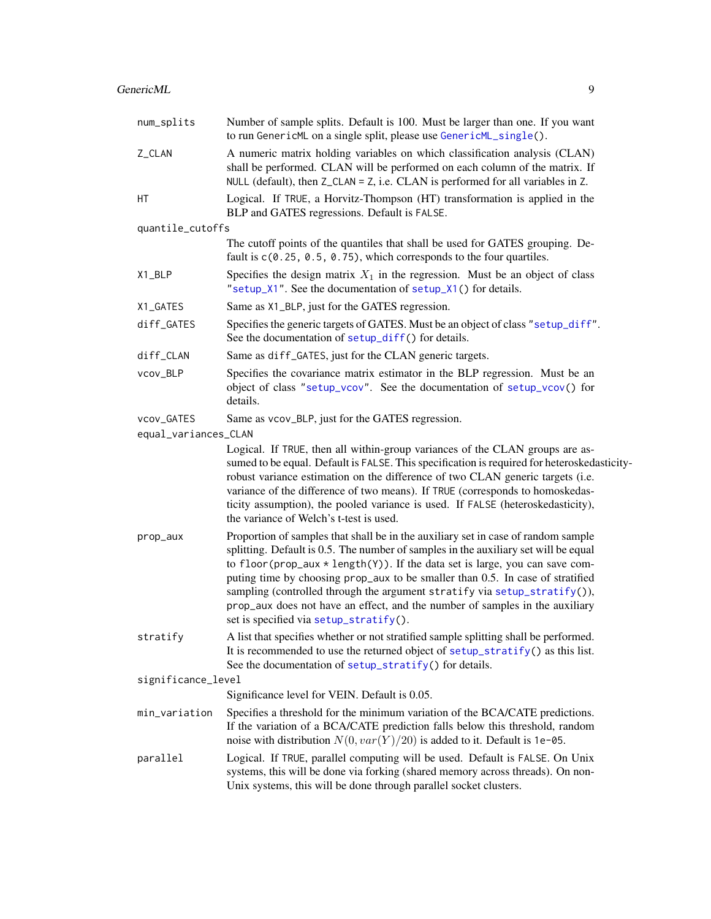# <span id="page-8-0"></span>GenericML 9

| num_splits           | Number of sample splits. Default is 100. Must be larger than one. If you want<br>to run GenericML on a single split, please use GenericML_single().                                                                                                                                                                                                                                                                                                                                                                                                 |
|----------------------|-----------------------------------------------------------------------------------------------------------------------------------------------------------------------------------------------------------------------------------------------------------------------------------------------------------------------------------------------------------------------------------------------------------------------------------------------------------------------------------------------------------------------------------------------------|
| Z_CLAN               | A numeric matrix holding variables on which classification analysis (CLAN)<br>shall be performed. CLAN will be performed on each column of the matrix. If<br>NULL (default), then $Z_{\text{c}}$ CLAN = Z, i.e. CLAN is performed for all variables in Z.                                                                                                                                                                                                                                                                                           |
| НT                   | Logical. If TRUE, a Horvitz-Thompson (HT) transformation is applied in the<br>BLP and GATES regressions. Default is FALSE.                                                                                                                                                                                                                                                                                                                                                                                                                          |
| quantile_cutoffs     |                                                                                                                                                                                                                                                                                                                                                                                                                                                                                                                                                     |
|                      | The cutoff points of the quantiles that shall be used for GATES grouping. De-<br>fault is $c(0.25, 0.5, 0.75)$ , which corresponds to the four quartiles.                                                                                                                                                                                                                                                                                                                                                                                           |
| X1_BLP               | Specifies the design matrix $X_1$ in the regression. Must be an object of class<br>"setup_X1". See the documentation of setup_X1() for details.                                                                                                                                                                                                                                                                                                                                                                                                     |
| X1_GATES             | Same as X1_BLP, just for the GATES regression.                                                                                                                                                                                                                                                                                                                                                                                                                                                                                                      |
| diff_GATES           | Specifies the generic targets of GATES. Must be an object of class "setup_diff".<br>See the documentation of setup_diff() for details.                                                                                                                                                                                                                                                                                                                                                                                                              |
| diff_CLAN            | Same as diff_GATES, just for the CLAN generic targets.                                                                                                                                                                                                                                                                                                                                                                                                                                                                                              |
| vcov_BLP             | Specifies the covariance matrix estimator in the BLP regression. Must be an<br>object of class "setup_vcov". See the documentation of setup_vcov() for<br>details.                                                                                                                                                                                                                                                                                                                                                                                  |
| vcov_GATES           | Same as vcov_BLP, just for the GATES regression.                                                                                                                                                                                                                                                                                                                                                                                                                                                                                                    |
| equal_variances_CLAN |                                                                                                                                                                                                                                                                                                                                                                                                                                                                                                                                                     |
|                      | Logical. If TRUE, then all within-group variances of the CLAN groups are as-<br>sumed to be equal. Default is FALSE. This specification is required for heteroskedasticity-<br>robust variance estimation on the difference of two CLAN generic targets (i.e.<br>variance of the difference of two means). If TRUE (corresponds to homoskedas-<br>ticity assumption), the pooled variance is used. If FALSE (heteroskedasticity),<br>the variance of Welch's t-test is used.                                                                        |
| prop_aux             | Proportion of samples that shall be in the auxiliary set in case of random sample<br>splitting. Default is 0.5. The number of samples in the auxiliary set will be equal<br>to floor (prop_aux $*$ length(Y)). If the data set is large, you can save com-<br>puting time by choosing prop_aux to be smaller than 0.5. In case of stratified<br>sampling (controlled through the argument stratify via setup_stratify()),<br>prop_aux does not have an effect, and the number of samples in the auxiliary<br>set is specified via setup_stratify(). |
| stratify             | A list that specifies whether or not stratified sample splitting shall be performed.<br>It is recommended to use the returned object of setup_stratify() as this list.<br>See the documentation of setup_stratify() for details.                                                                                                                                                                                                                                                                                                                    |
| significance_level   |                                                                                                                                                                                                                                                                                                                                                                                                                                                                                                                                                     |
|                      | Significance level for VEIN. Default is 0.05.                                                                                                                                                                                                                                                                                                                                                                                                                                                                                                       |
| min_variation        | Specifies a threshold for the minimum variation of the BCA/CATE predictions.<br>If the variation of a BCA/CATE prediction falls below this threshold, random<br>noise with distribution $N(0, var(Y)/20)$ is added to it. Default is 1e-05.                                                                                                                                                                                                                                                                                                         |
| parallel             | Logical. If TRUE, parallel computing will be used. Default is FALSE. On Unix<br>systems, this will be done via forking (shared memory across threads). On non-<br>Unix systems, this will be done through parallel socket clusters.                                                                                                                                                                                                                                                                                                                 |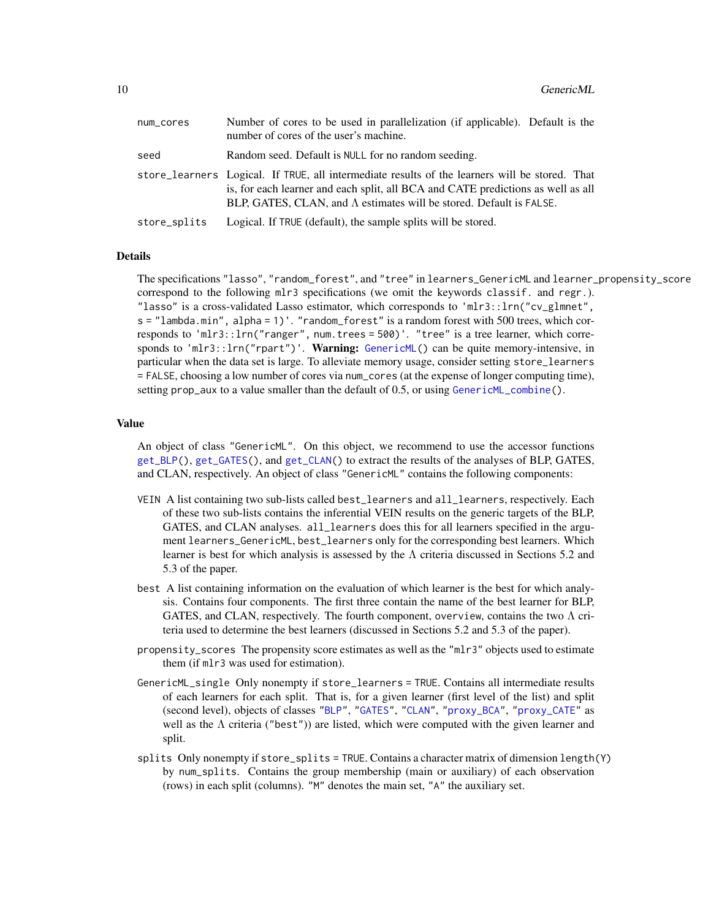<span id="page-9-0"></span>

| num_cores    | Number of cores to be used in parallelization (if applicable). Default is the<br>number of cores of the user's machine.                                                                                                                                           |
|--------------|-------------------------------------------------------------------------------------------------------------------------------------------------------------------------------------------------------------------------------------------------------------------|
| seed         | Random seed. Default is NULL for no random seeding.                                                                                                                                                                                                               |
|              | store_learners Logical. If TRUE, all intermediate results of the learners will be stored. That<br>is, for each learner and each split, all BCA and CATE predictions as well as all<br>BLP, GATES, CLAN, and $\Lambda$ estimates will be stored. Default is FALSE. |
| store_splits | Logical. If TRUE (default), the sample splits will be stored.                                                                                                                                                                                                     |

# Details

The specifications "lasso", "random\_forest", and "tree" in learners\_GenericML and learner\_propensity\_score correspond to the following mlr3 specifications (we omit the keywords classif. and regr.). "lasso" is a cross-validated Lasso estimator, which corresponds to 'mlr3::lrn("cv\_glmnet", s = "lambda.min", alpha = 1)'. "random\_forest" is a random forest with 500 trees, which corresponds to 'mlr3::lrn("ranger", num.trees = 500)'. "tree" is a tree learner, which corre-sponds to 'mlr3::lrn("rpart")'. Warning: [GenericML\(](#page-6-1)) can be quite memory-intensive, in particular when the data set is large. To alleviate memory usage, consider setting store\_learners = FALSE, choosing a low number of cores via num\_cores (at the expense of longer computing time), setting prop\_aux to a value smaller than the default of 0.5, or using [GenericML\\_combine\(](#page-11-1)).

# Value

An object of class "GenericML". On this object, we recommend to use the accessor functions [get\\_BLP\(](#page-17-1)), [get\\_GATES\(](#page-21-1)), and [get\\_CLAN\(](#page-19-1)) to extract the results of the analyses of BLP, GATES, and CLAN, respectively. An object of class "GenericML" contains the following components:

- VEIN A list containing two sub-lists called best\_learners and all\_learners, respectively. Each of these two sub-lists contains the inferential VEIN results on the generic targets of the BLP, GATES, and CLAN analyses. all\_learners does this for all learners specified in the argument learners\_GenericML, best\_learners only for the corresponding best learners. Which learner is best for which analysis is assessed by the  $\Lambda$  criteria discussed in Sections 5.2 and 5.3 of the paper.
- best A list containing information on the evaluation of which learner is the best for which analysis. Contains four components. The first three contain the name of the best learner for BLP, GATES, and CLAN, respectively. The fourth component, overview, contains the two  $\Lambda$  criteria used to determine the best learners (discussed in Sections 5.2 and 5.3 of the paper).
- propensity\_scores The propensity score estimates as well as the "mlr3" objects used to estimate them (if mlr3 was used for estimation).
- GenericML\_single Only nonempty if store\_learners = TRUE. Contains all intermediate results of each learners for each split. That is, for a given learner (first level of the list) and split (second level), objects of classes ["BLP"](#page-1-1), ["GATES"](#page-4-1), ["CLAN"](#page-3-1), ["proxy\\_BCA"](#page-31-1), ["proxy\\_CATE"](#page-33-1) as well as the  $\Lambda$  criteria ("best")) are listed, which were computed with the given learner and split.
- splits Only nonempty if store\_splits = TRUE. Contains a character matrix of dimension length(Y) by num\_splits. Contains the group membership (main or auxiliary) of each observation (rows) in each split (columns). "M" denotes the main set, "A" the auxiliary set.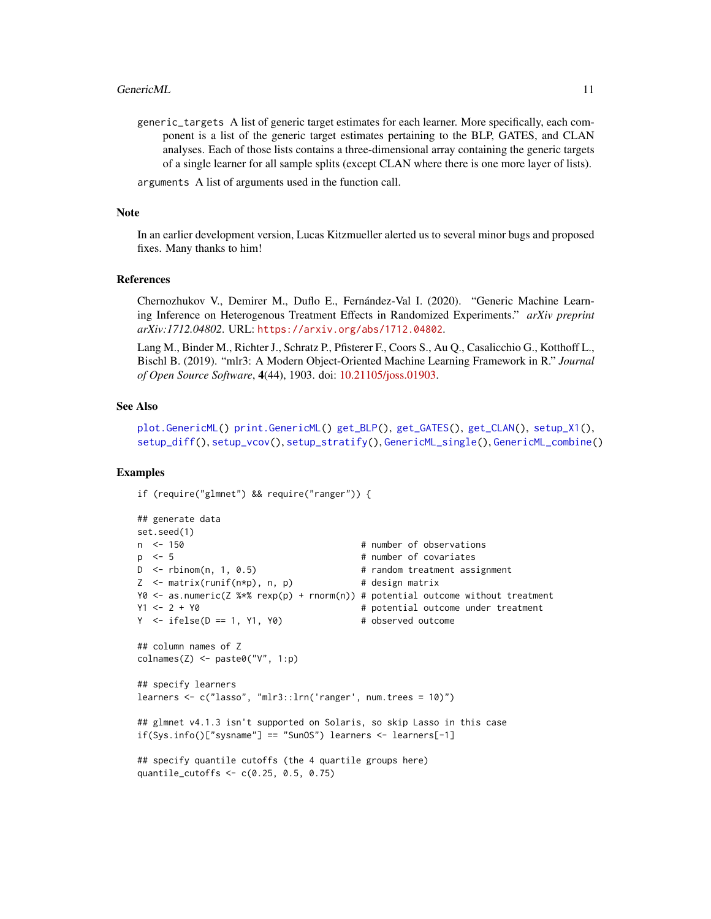<span id="page-10-0"></span>generic\_targets A list of generic target estimates for each learner. More specifically, each component is a list of the generic target estimates pertaining to the BLP, GATES, and CLAN analyses. Each of those lists contains a three-dimensional array containing the generic targets of a single learner for all sample splits (except CLAN where there is one more layer of lists).

arguments A list of arguments used in the function call.

#### Note

In an earlier development version, Lucas Kitzmueller alerted us to several minor bugs and proposed fixes. Many thanks to him!

#### References

Chernozhukov V., Demirer M., Duflo E., Fernández-Val I. (2020). "Generic Machine Learning Inference on Heterogenous Treatment Effects in Randomized Experiments." *arXiv preprint arXiv:1712.04802*. URL: <https://arxiv.org/abs/1712.04802>.

Lang M., Binder M., Richter J., Schratz P., Pfisterer F., Coors S., Au Q., Casalicchio G., Kotthoff L., Bischl B. (2019). "mlr3: A Modern Object-Oriented Machine Learning Framework in R." *Journal of Open Source Software*, 4(44), 1903. doi: [10.21105/joss.01903.](https://doi.org/10.21105/joss.01903)

#### See Also

[plot.GenericML\(](#page-25-1)) [print.GenericML\(](#page-29-1)) [get\\_BLP\(](#page-17-1)), [get\\_GATES\(](#page-21-1)), [get\\_CLAN\(](#page-19-1)), [setup\\_X1\(](#page-41-1)), [setup\\_diff\(](#page-35-1)), [setup\\_vcov\(](#page-40-1)), [setup\\_stratify\(](#page-39-1)), [GenericML\\_single\(](#page-13-1)), [GenericML\\_combine\(](#page-11-1))

#### Examples

if (require("glmnet") && require("ranger")) {

```
## generate data
set.seed(1)<br>n <- 150
                                       # number of observations
p \le -5 # number of covariates
D <- rbinom(n, 1, 0.5) # random treatment assignment
Z \leq - matrix(runif(n*p), n, p) # design matrix
Y0 <- as.numeric(Z %*% rexp(p) + rnorm(n)) # potential outcome without treatment
Y1 <- 2 + Y0 \neq Potential outcome under treatment
Y \le - \text{ifelse}(D == 1, Y1, Y0) # observed outcome
## column names of Z
colnames(Z) \leftarrow paste@("V", 1:p)## specify learners
learners <- c("lasso", "mlr3::lrn('ranger', num.trees = 10)")
## glmnet v4.1.3 isn't supported on Solaris, so skip Lasso in this case
if(Sys.info()["sysname"] == "SunOS") learners <- learners[-1]
## specify quantile cutoffs (the 4 quartile groups here)
quantile_cutoffs <- c(0.25, 0.5, 0.75)
```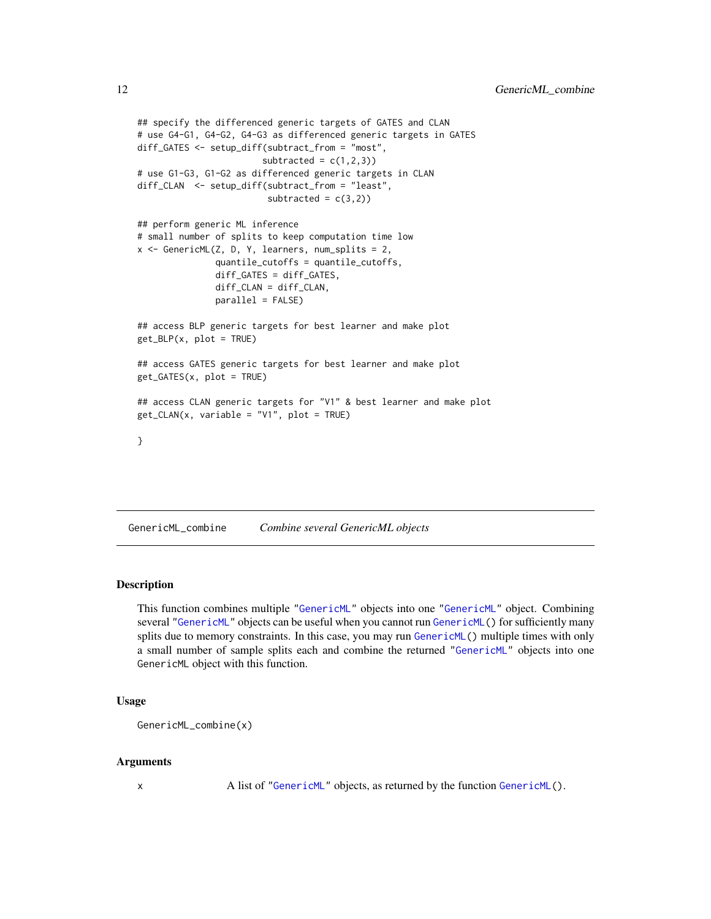```
## specify the differenced generic targets of GATES and CLAN
# use G4-G1, G4-G2, G4-G3 as differenced generic targets in GATES
diff_GATES <- setup_diff(subtract_from = "most",
                        subtracted = c(1,2,3))
# use G1-G3, G1-G2 as differenced generic targets in CLAN
diff_CLAN <- setup_diff(subtract_from = "least",
                         subtracted = c(3,2))
## perform generic ML inference
# small number of splits to keep computation time low
x <- GenericML(Z, D, Y, learners, num_splits = 2,
               quantile_cutoffs = quantile_cutoffs,
               diff_GATES = diff_GATES,
               diff_CLAN = diff_CLAN,
               parallel = FALSE)
## access BLP generic targets for best learner and make plot
get_BLP(x, plot = TRUE)
## access GATES generic targets for best learner and make plot
get_GATES(x, plot = TRUE)
## access CLAN generic targets for "V1" & best learner and make plot
get_CLAN(x, variable = "V1", plot = TRUE)
}
```
<span id="page-11-1"></span>GenericML\_combine *Combine several GenericML objects*

# Description

This function combines multiple ["GenericML"](#page-6-1) objects into one ["GenericML"](#page-6-1) object. Combining several ["GenericML"](#page-6-1) objects can be useful when you cannot run [GenericML\(](#page-6-1)) for sufficiently many splits due to memory constraints. In this case, you may run [GenericML\(](#page-6-1)) multiple times with only a small number of sample splits each and combine the returned ["GenericML"](#page-6-1) objects into one GenericML object with this function.

# Usage

```
GenericML_combine(x)
```
#### Arguments

x A list of ["GenericML"](#page-6-1) objects, as returned by the function [GenericML\(](#page-6-1)).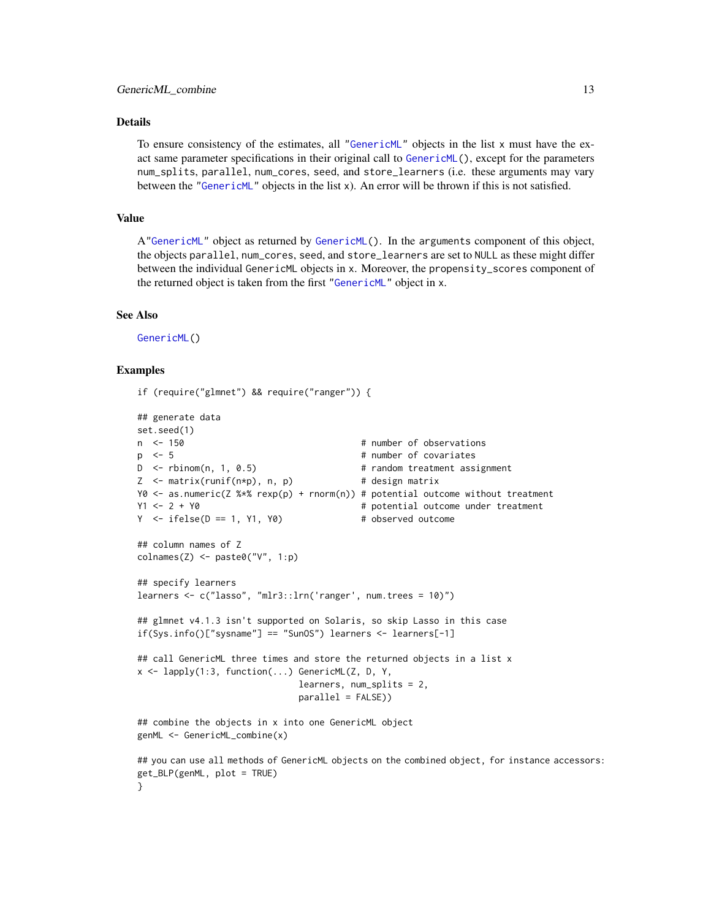#### <span id="page-12-0"></span>Details

To ensure consistency of the estimates, all ["GenericML"](#page-6-1) objects in the list x must have the exact same parameter specifications in their original call to [GenericML\(](#page-6-1)), except for the parameters num\_splits, parallel, num\_cores, seed, and store\_learners (i.e. these arguments may vary between the ["GenericML"](#page-6-1) objects in the list x). An error will be thrown if this is not satisfied.

#### Value

A["GenericML"](#page-6-1) object as returned by [GenericML\(](#page-6-1)). In the arguments component of this object, the objects parallel, num\_cores, seed, and store\_learners are set to NULL as these might differ between the individual GenericML objects in x. Moreover, the propensity\_scores component of the returned object is taken from the first ["GenericML"](#page-6-1) object in x.

#### See Also

[GenericML\(](#page-6-1))

# Examples

}

if (require("glmnet") && require("ranger")) {

```
## generate data
set.seed(1)
n <- 150 \blacksquare + number of observations
p \le -5 # number of covariates
D <- rbinom(n, 1, 0.5) # random treatment assignment
Z \leq - matrix(runif(n*p), n, p) \qquad # design matrix
Y0 <- as.numeric(Z %*% rexp(p) + rnorm(n)) # potential outcome without treatment
Y1 <- 2 + Y0 \neq Potential outcome under treatment
Y \leftarrow ifelse(D == 1, Y1, Y0) # observed outcome
## column names of Z
collnames(Z) \leq - paste\theta("V", 1:p)## specify learners
learners <- c("lasso", "mlr3::lrn('ranger', num.trees = 10)")
## glmnet v4.1.3 isn't supported on Solaris, so skip Lasso in this case
if(Sys.info()["sysname"] == "SunOS") learners <- learners[-1]
## call GenericML three times and store the returned objects in a list x
x <- lapply(1:3, function(...) GenericML(Z, D, Y,
                            learners, num_splits = 2,
                            parallel = FALSE))
## combine the objects in x into one GenericML object
genML <- GenericML_combine(x)
## you can use all methods of GenericML objects on the combined object, for instance accessors:
get_BLP(genML, plot = TRUE)
```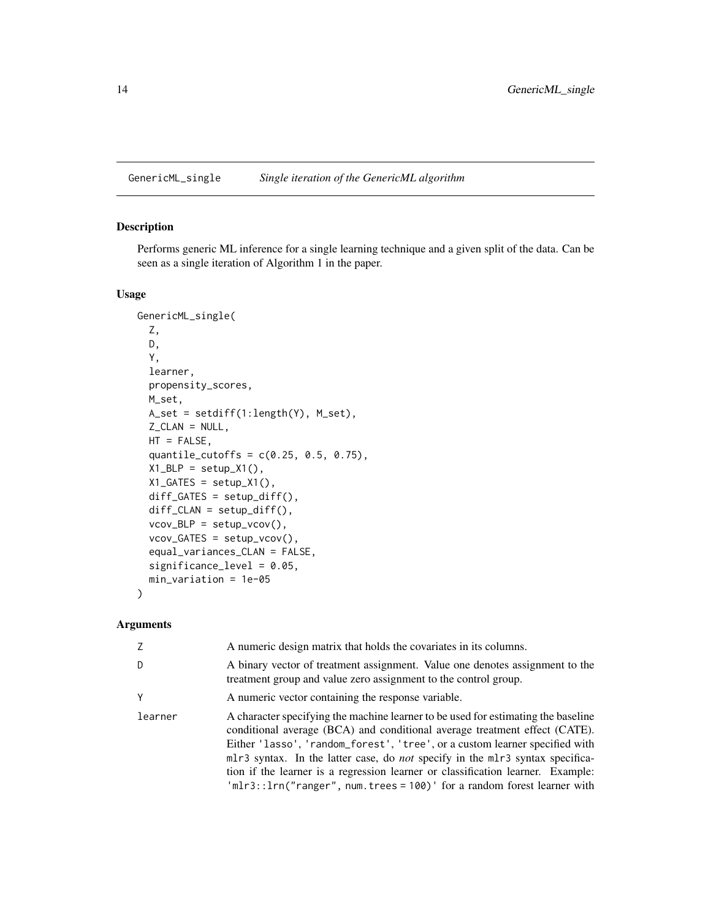<span id="page-13-1"></span><span id="page-13-0"></span>GenericML\_single *Single iteration of the GenericML algorithm*

# Description

Performs generic ML inference for a single learning technique and a given split of the data. Can be seen as a single iteration of Algorithm 1 in the paper.

# Usage

```
GenericML_single(
  Z,
 D,
 Y,
 learner,
 propensity_scores,
 M_set,
 A_set = setdiff(1:length(Y), M_set),
  Z_CLAN = NULL,
 HT = FALSE,quantile_cutoffs = c(0.25, 0.5, 0.75),
 X1_BLP = setup_X1(),
 X1_GATES = setup_X1(),
 diff_GATES = setup_diff(),
  diff_CLAN = setup_diff(),
  vcov_BLP = setup_vcov(),vcov_GATES = setup_vcov(),
  equal_variances_CLAN = FALSE,
  significance_level = 0.05,
 min_variation = 1e-05
\mathcal{E}
```
# Arguments

| Z       | A numeric design matrix that holds the covariates in its columns.                                                                                                                                                                                                                                                                                                                                                                                                                                      |
|---------|--------------------------------------------------------------------------------------------------------------------------------------------------------------------------------------------------------------------------------------------------------------------------------------------------------------------------------------------------------------------------------------------------------------------------------------------------------------------------------------------------------|
| D       | A binary vector of treatment assignment. Value one denotes assignment to the<br>treatment group and value zero assignment to the control group.                                                                                                                                                                                                                                                                                                                                                        |
| Y       | A numeric vector containing the response variable.                                                                                                                                                                                                                                                                                                                                                                                                                                                     |
| learner | A character specifying the machine learner to be used for estimating the baseline<br>conditional average (BCA) and conditional average treatment effect (CATE).<br>Either 'lasso', 'random_forest', 'tree', or a custom learner specified with<br>mlr3 syntax. In the latter case, do <i>not</i> specify in the mlr3 syntax specifica-<br>tion if the learner is a regression learner or classification learner. Example:<br>$'mlr3::lrn("ranger", num.trees = 100)'$ for a random forest learner with |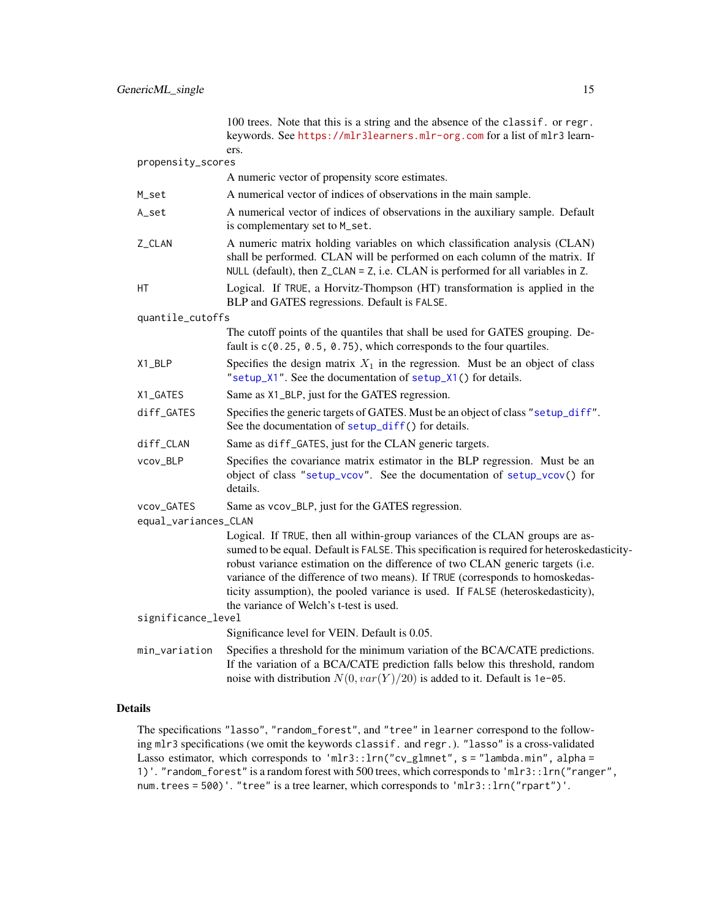<span id="page-14-0"></span>

| propensity_scores                  | 100 trees. Note that this is a string and the absence of the classif. or regr.<br>keywords. See https://mlr3learners.mlr-org.com for a list of mlr3 learn-<br>ers.                                                                                                                                                                                                                                                                                                           |
|------------------------------------|------------------------------------------------------------------------------------------------------------------------------------------------------------------------------------------------------------------------------------------------------------------------------------------------------------------------------------------------------------------------------------------------------------------------------------------------------------------------------|
|                                    | A numeric vector of propensity score estimates.                                                                                                                                                                                                                                                                                                                                                                                                                              |
| M_set                              | A numerical vector of indices of observations in the main sample.                                                                                                                                                                                                                                                                                                                                                                                                            |
| A_set                              | A numerical vector of indices of observations in the auxiliary sample. Default<br>is complementary set to M_set.                                                                                                                                                                                                                                                                                                                                                             |
| Z_CLAN                             | A numeric matrix holding variables on which classification analysis (CLAN)<br>shall be performed. CLAN will be performed on each column of the matrix. If<br>NULL (default), then Z_CLAN = Z, i.e. CLAN is performed for all variables in Z.                                                                                                                                                                                                                                 |
| НT                                 | Logical. If TRUE, a Horvitz-Thompson (HT) transformation is applied in the<br>BLP and GATES regressions. Default is FALSE.                                                                                                                                                                                                                                                                                                                                                   |
| quantile_cutoffs                   |                                                                                                                                                                                                                                                                                                                                                                                                                                                                              |
|                                    | The cutoff points of the quantiles that shall be used for GATES grouping. De-<br>fault is c(0.25, 0.5, 0.75), which corresponds to the four quartiles.                                                                                                                                                                                                                                                                                                                       |
| X1_BLP                             | Specifies the design matrix $X_1$ in the regression. Must be an object of class<br>"setup_X1". See the documentation of setup_X1() for details.                                                                                                                                                                                                                                                                                                                              |
| X1_GATES                           | Same as X1_BLP, just for the GATES regression.                                                                                                                                                                                                                                                                                                                                                                                                                               |
| diff_GATES                         | Specifies the generic targets of GATES. Must be an object of class "setup_diff".<br>See the documentation of setup_diff() for details.                                                                                                                                                                                                                                                                                                                                       |
| diff_CLAN                          | Same as diff_GATES, just for the CLAN generic targets.                                                                                                                                                                                                                                                                                                                                                                                                                       |
| vcov_BLP                           | Specifies the covariance matrix estimator in the BLP regression. Must be an<br>object of class "setup_vcov". See the documentation of setup_vcov() for<br>details.                                                                                                                                                                                                                                                                                                           |
| vcov_GATES<br>equal_variances_CLAN | Same as vcov_BLP, just for the GATES regression.                                                                                                                                                                                                                                                                                                                                                                                                                             |
| significance_level                 | Logical. If TRUE, then all within-group variances of the CLAN groups are as-<br>sumed to be equal. Default is FALSE. This specification is required for heteroskedasticity-<br>robust variance estimation on the difference of two CLAN generic targets (i.e.<br>variance of the difference of two means). If TRUE (corresponds to homoskedas-<br>ticity assumption), the pooled variance is used. If FALSE (heteroskedasticity),<br>the variance of Welch's t-test is used. |
|                                    | Significance level for VEIN. Default is 0.05.                                                                                                                                                                                                                                                                                                                                                                                                                                |
| min_variation                      | Specifies a threshold for the minimum variation of the BCA/CATE predictions.<br>If the variation of a BCA/CATE prediction falls below this threshold, random<br>noise with distribution $N(0, var(Y)/20)$ is added to it. Default is 1e-05.                                                                                                                                                                                                                                  |

# Details

The specifications "lasso", "random\_forest", and "tree" in learner correspond to the following mlr3 specifications (we omit the keywords classif. and regr.). "lasso" is a cross-validated Lasso estimator, which corresponds to 'mlr3:: lrn("cv\_glmnet", s = "lambda.min", alpha = 1)'. "random\_forest" is a random forest with 500 trees, which corresponds to 'mlr3::lrn("ranger", num.trees = 500)'. "tree" is a tree learner, which corresponds to 'mlr3::lrn("rpart")'.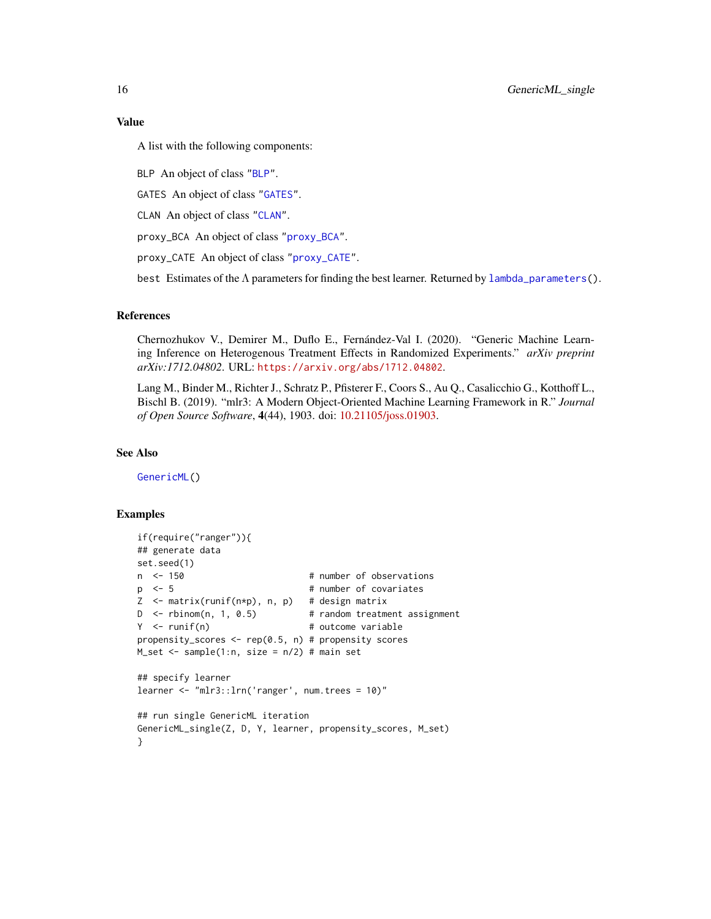A list with the following components:

BLP An object of class ["BLP"](#page-1-1).

GATES An object of class ["GATES"](#page-4-1).

CLAN An object of class ["CLAN"](#page-3-1).

proxy\_BCA An object of class ["proxy\\_BCA"](#page-31-1).

proxy\_CATE An object of class ["proxy\\_CATE"](#page-33-1).

best Estimates of the  $\Lambda$  parameters for finding the best learner. Returned by [lambda\\_parameters\(](#page-23-1)).

# References

Chernozhukov V., Demirer M., Duflo E., Fernández-Val I. (2020). "Generic Machine Learning Inference on Heterogenous Treatment Effects in Randomized Experiments." *arXiv preprint arXiv:1712.04802*. URL: <https://arxiv.org/abs/1712.04802>.

Lang M., Binder M., Richter J., Schratz P., Pfisterer F., Coors S., Au Q., Casalicchio G., Kotthoff L., Bischl B. (2019). "mlr3: A Modern Object-Oriented Machine Learning Framework in R." *Journal of Open Source Software*, 4(44), 1903. doi: [10.21105/joss.01903.](https://doi.org/10.21105/joss.01903)

# See Also

[GenericML\(](#page-6-1))

```
if(require("ranger")){
## generate data
set.seed(1)
n <- 150 # number of observations
p \le -5 # number of covariates
Z <- matrix(runif(n*p), n, p) # design matrix
D <- rbinom(n, 1, 0.5) # random treatment assignment
Y <- runif(n) \qquad # outcome variable
propensity_scores <- rep(0.5, n) # propensity scores
M_set \leq samemath> sample(1:n, size = n/2) # main set## specify learner
learner <- "mlr3::lrn('ranger', num.trees = 10)"
## run single GenericML iteration
GenericML_single(Z, D, Y, learner, propensity_scores, M_set)
}
```
<span id="page-15-0"></span>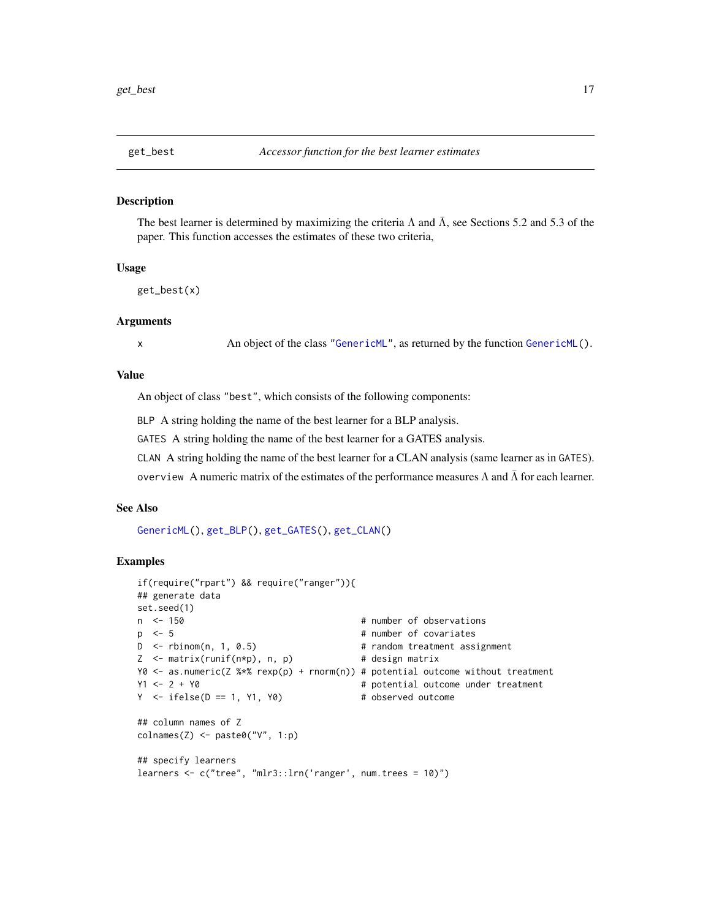<span id="page-16-1"></span><span id="page-16-0"></span>

#### **Description**

The best learner is determined by maximizing the criteria  $\Lambda$  and  $\overline{\Lambda}$ , see Sections 5.2 and 5.3 of the paper. This function accesses the estimates of these two criteria,

## Usage

get\_best(x)

# Arguments

x An object of the class ["GenericML"](#page-6-1), as returned by the function [GenericML\(](#page-6-1)).

# Value

An object of class "best", which consists of the following components:

BLP A string holding the name of the best learner for a BLP analysis.

GATES A string holding the name of the best learner for a GATES analysis.

CLAN A string holding the name of the best learner for a CLAN analysis (same learner as in GATES).

overview A numeric matrix of the estimates of the performance measures  $Λ$  and  $Λ$  for each learner.

#### See Also

[GenericML\(](#page-6-1)), [get\\_BLP\(](#page-17-1)), [get\\_GATES\(](#page-21-1)), [get\\_CLAN\(](#page-19-1))

```
if(require("rpart") && require("ranger")){
## generate data
set.seed(1)
n <- 150 \blacksquare + number of observations
p <- 5 # number of covariates
D <- rbinom(n, 1, 0.5) # random treatment assignment
Z \leq - matrix(runif(n*p), n, p) # design matrix
Y0 <- as.numeric(Z %*% rexp(p) + rnorm(n)) # potential outcome without treatment
Y1 <- 2 + Y0 # potential outcome under treatment
Y \le - \text{ifelse}(D == 1, Y1, Y0) # observed outcome
## column names of Z
\text{colnames}(Z) \leq \text{past}(\text{C}' \vee \text{C}'', 1:p)## specify learners
learners \leq c("tree", "mlr3::lrn('ranger', num.trees = 10)")
```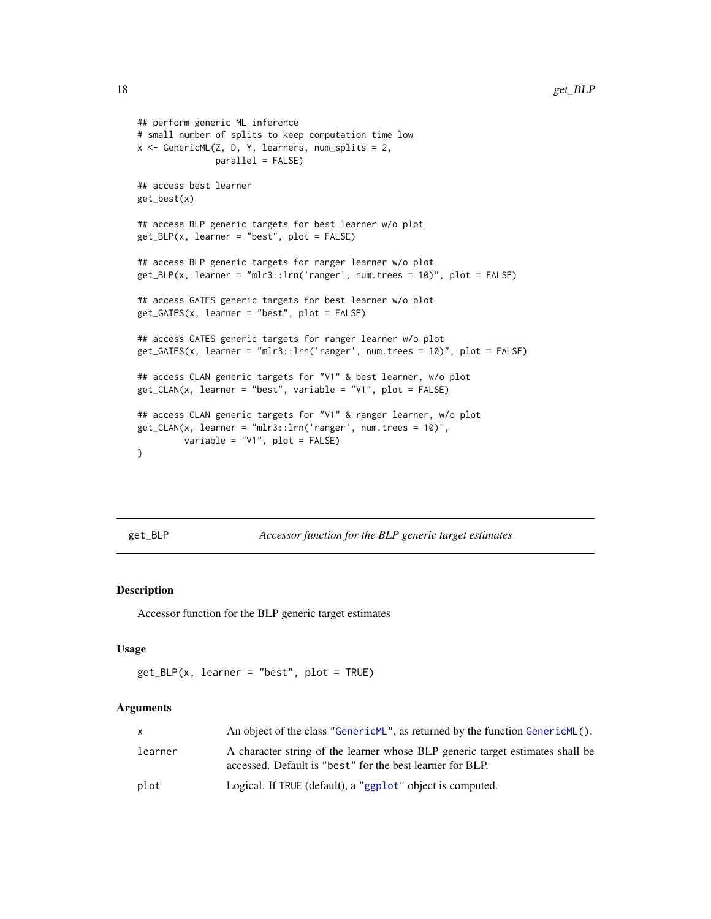```
## perform generic ML inference
# small number of splits to keep computation time low
x <- GenericML(Z, D, Y, learners, num_splits = 2,
               parallel = FALSE)
## access best learner
get_best(x)
## access BLP generic targets for best learner w/o plot
get_BLP(x, learner = "best", plot = FALSE)
## access BLP generic targets for ranger learner w/o plot
get_BLP(x, learner = "mlr3::lrn('ranger', num.trees = 10)", plot = FALSE)
## access GATES generic targets for best learner w/o plot
get_GATES(x, learner = "best", plot = FALSE)
## access GATES generic targets for ranger learner w/o plot
get_GATES(x, learner = "mlr3::lrn('ranger', num.trees = 10)", plot = FALSE)
## access CLAN generic targets for "V1" & best learner, w/o plot
get_CLAN(x, learner = "best", variable = "V1", plot = FALSE)
## access CLAN generic targets for "V1" & ranger learner, w/o plot
get\_CLAN(x, learner = "mlr3::lm('ranger', num.trees = 10)",variable = "V1", plot = FALSE)
}
```
<span id="page-17-1"></span>get\_BLP *Accessor function for the BLP generic target estimates*

# Description

Accessor function for the BLP generic target estimates

## Usage

```
get\_BLP(x, learner = "best", plot = TRUE)
```
# Arguments

| x.      | An object of the class "GenericML", as returned by the function GenericML().                                                               |
|---------|--------------------------------------------------------------------------------------------------------------------------------------------|
| learner | A character string of the learner whose BLP generic target estimates shall be<br>accessed. Default is "best" for the best learner for BLP. |
| plot    | Logical. If TRUE (default), a "ggplot" object is computed.                                                                                 |

<span id="page-17-0"></span>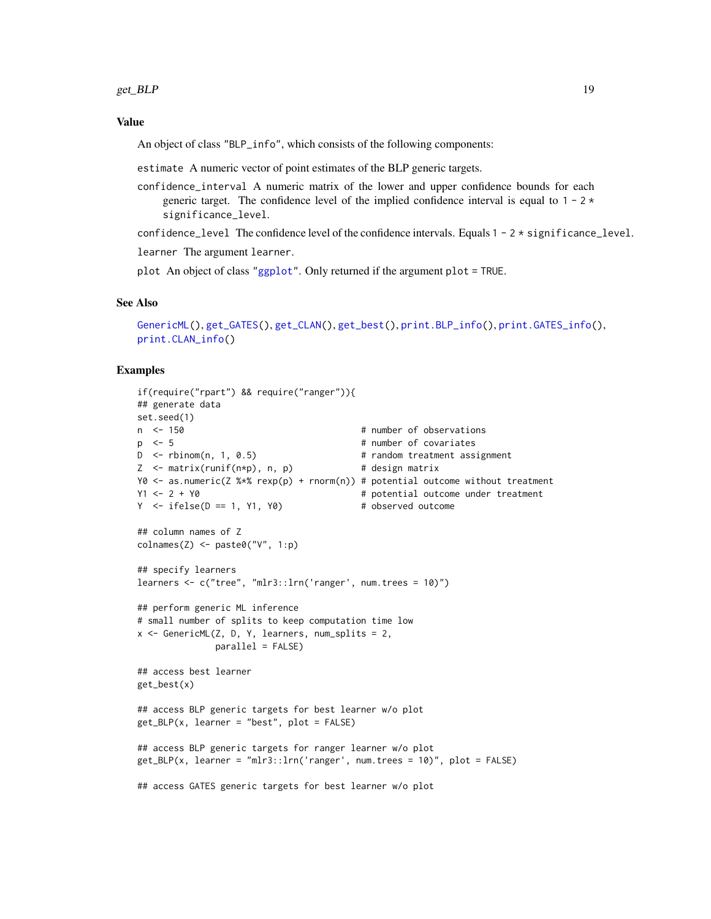# <span id="page-18-0"></span>Value

An object of class "BLP\_info", which consists of the following components:

estimate A numeric vector of point estimates of the BLP generic targets.

confidence\_interval A numeric matrix of the lower and upper confidence bounds for each generic target. The confidence level of the implied confidence interval is equal to  $1 - 2 \times$ significance\_level.

confidence\_level The confidence level of the confidence intervals. Equals  $1 - 2 \times$  significance\_level.

learner The argument learner.

plot An object of class ["ggplot"](#page-0-0). Only returned if the argument plot = TRUE.

# See Also

```
GenericML(), get_GATES(), get_CLAN(), get_best(), print.BLP_info(), print.GATES_info(),
print.CLAN_info()
```

```
if(require("rpart") && require("ranger")){
## generate data
set.seed(1)
n <- 150 + number of observations
p <- 5 # number of covariates
D <- rbinom(n, 1, 0.5) # random treatment assignment
Z \leq - matrix(runif(n*p), n, p) \qquad # design matrix
Y0 <- as.numeric(Z %*% rexp(p) + rnorm(n)) # potential outcome without treatment
Y1 <- 2 + Y0 \neq Potential outcome under treatment
Y \le - \text{ifelse}(D == 1, Y1, Y0) # observed outcome
## column names of Z
colnames(Z) <- paste0("V", 1:p)
## specify learners
learners \leq c("tree", "mlr3::lrn('ranger', num.trees = 10)")
## perform generic ML inference
# small number of splits to keep computation time low
x \le GenericML(Z, D, Y, learners, num_splits = 2,
             parallel = FALSE)
## access best learner
get_best(x)
## access BLP generic targets for best learner w/o plot
get_BLP(x, learner = "best", plot = FALSE)
## access BLP generic targets for ranger learner w/o plot
get_BLP(x, learner = "mlr3::lrn('ranger', num.trees = 10)", plot = FALSE)
## access GATES generic targets for best learner w/o plot
```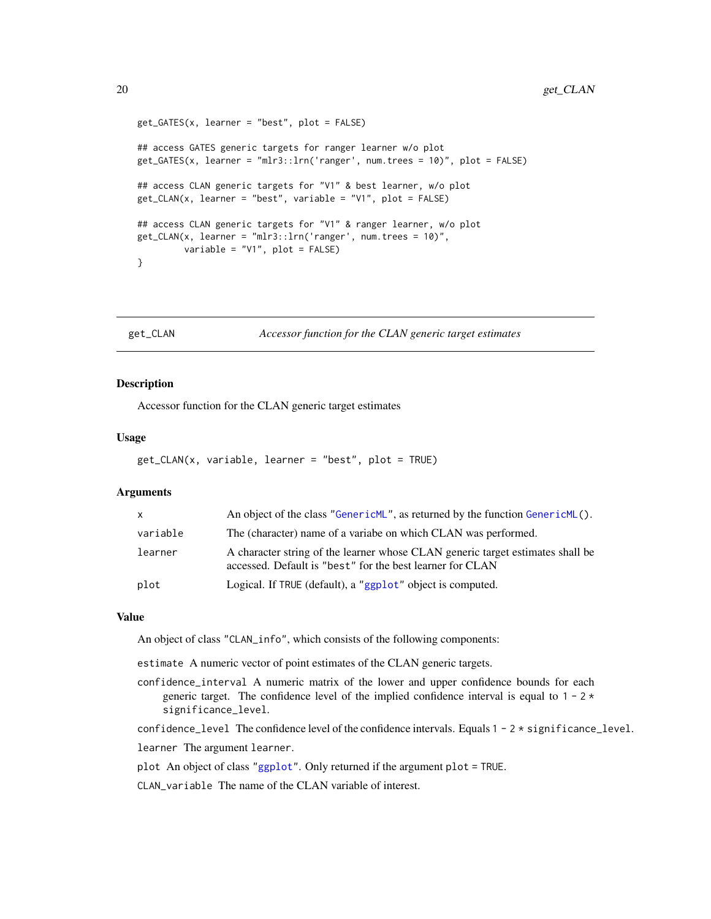```
get_GATES(x, learner = "best", plot = FALSE)
## access GATES generic targets for ranger learner w/o plot
get_GATES(x, learner = "mlr3::lrn('ranger', num.trees = 10)", plot = FALSE)
## access CLAN generic targets for "V1" & best learner, w/o plot
get\_CLAN(x, learner = "best", variable = "V1", plot = FALSE)## access CLAN generic targets for "V1" & ranger learner, w/o plot
get_CLAN(x, learner = "mlr3::lrn('ranger', num.trees = 10)",
        variable = "V1", plot = FALSE)
}
```
<span id="page-19-1"></span>get\_CLAN *Accessor function for the CLAN generic target estimates*

# Description

Accessor function for the CLAN generic target estimates

#### Usage

```
get_CLAN(x, variable, learner = "best", plot = TRUE)
```
# Arguments

| X        | An object of the class "GenericML", as returned by the function GenericML().                                                                |
|----------|---------------------------------------------------------------------------------------------------------------------------------------------|
| variable | The (character) name of a variabe on which CLAN was performed.                                                                              |
| learner  | A character string of the learner whose CLAN generic target estimates shall be<br>accessed. Default is "best" for the best learner for CLAN |
| plot     | Logical. If TRUE (default), a "ggplot" object is computed.                                                                                  |

# Value

An object of class "CLAN\_info", which consists of the following components:

estimate A numeric vector of point estimates of the CLAN generic targets.

confidence\_interval A numeric matrix of the lower and upper confidence bounds for each generic target. The confidence level of the implied confidence interval is equal to  $1 - 2 \times$ significance\_level.

confidence\_level The confidence level of the confidence intervals. Equals  $1 - 2 \times$  significance\_level.

learner The argument learner.

plot An object of class ["ggplot"](#page-0-0). Only returned if the argument plot = TRUE.

CLAN\_variable The name of the CLAN variable of interest.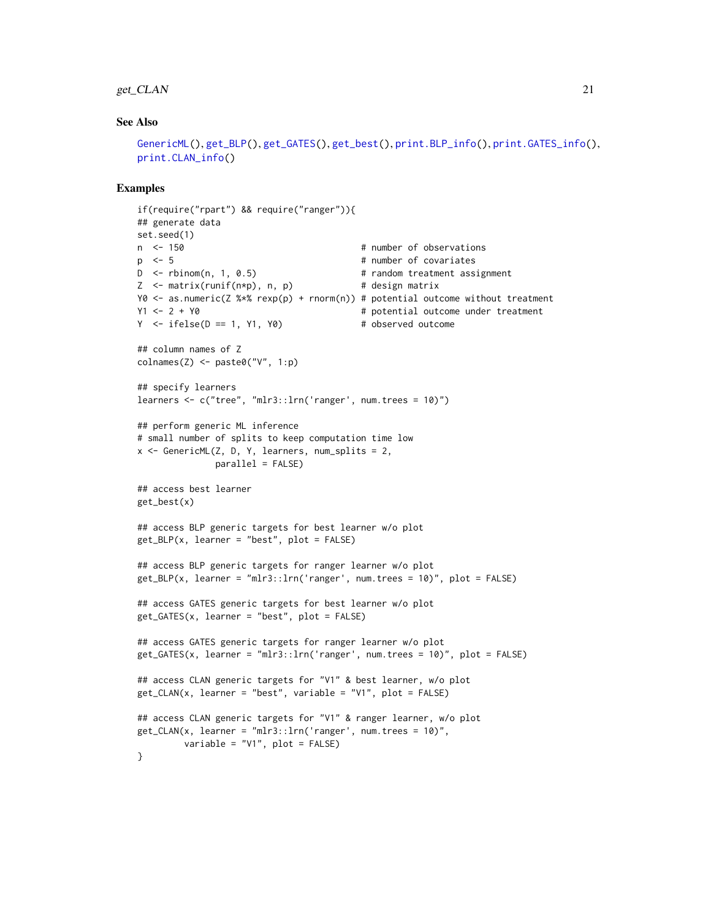### <span id="page-20-0"></span>get\_CLAN 21

# See Also

```
GenericML(), get_BLP(), get_GATES(), get_best(), print.BLP_info(), print.GATES_info(),
print.CLAN_info()
```

```
if(require("rpart") && require("ranger")){
## generate data
set.seed(1)
n <- 150 \blacksquare 150 \blacksquare 100 \blacksquare 100 \blacksquare 100 \blacksquare 100 \blacksquare 100 \blacksquare 100 \blacksquare 100 \blacksquare 100 \blacksquare 100 \blacksquare 100 \blacksquare 100 \blacksquare 100 \blacksquare 100 \blacksquare 100 \blacksquare 100 \blacksquare 100 \blacksquare 100 \blacksquare 100 \blacksp \leq 5 # number of covariates
D <- rbinom(n, 1, 0.5) # random treatment assignment
Z \leq - matrix(runif(n*p), n, p) # design matrix
Y0 <- as.numeric(Z %*% rexp(p) + rnorm(n)) # potential outcome without treatment
Y1 <- 2 + Y0 # potential outcome under treatment
Y \le - \text{ if} \text{else}(D == 1, Y1, Y0) # observed outcome
## column names of Z
\text{colnames}(Z) \leq \text{past} \Theta("V", 1:p)## specify learners
learners <- c("tree", "mlr3::lrn('ranger', num.trees = 10)")
## perform generic ML inference
# small number of splits to keep computation time low
x <- GenericML(Z, D, Y, learners, num_splits = 2,
                 parallel = FALSE)
## access best learner
get_best(x)
## access BLP generic targets for best learner w/o plot
get_BLP(x, learner = "best", plot = FALSE)
## access BLP generic targets for ranger learner w/o plot
get_BLP(x, learner = "mlr3::lm('ranger', num.trees = 10)", plot = FALSE)
## access GATES generic targets for best learner w/o plot
get_GATES(x, learner = "best", plot = FALSE)
## access GATES generic targets for ranger learner w/o plot
get_GATES(x, learner = "mlr3::lrn('ranger', num.trees = 10)", plot = FALSE)
## access CLAN generic targets for "V1" & best learner, w/o plot
get_CLAN(x, learner = "best", variable = "V1", plot = FALSE)
## access CLAN generic targets for "V1" & ranger learner, w/o plot
get_CLAN(x, learner = "mlr3::lm('ranger', num.trees = 10)",variable = "V1", plot = FALSE)
}
```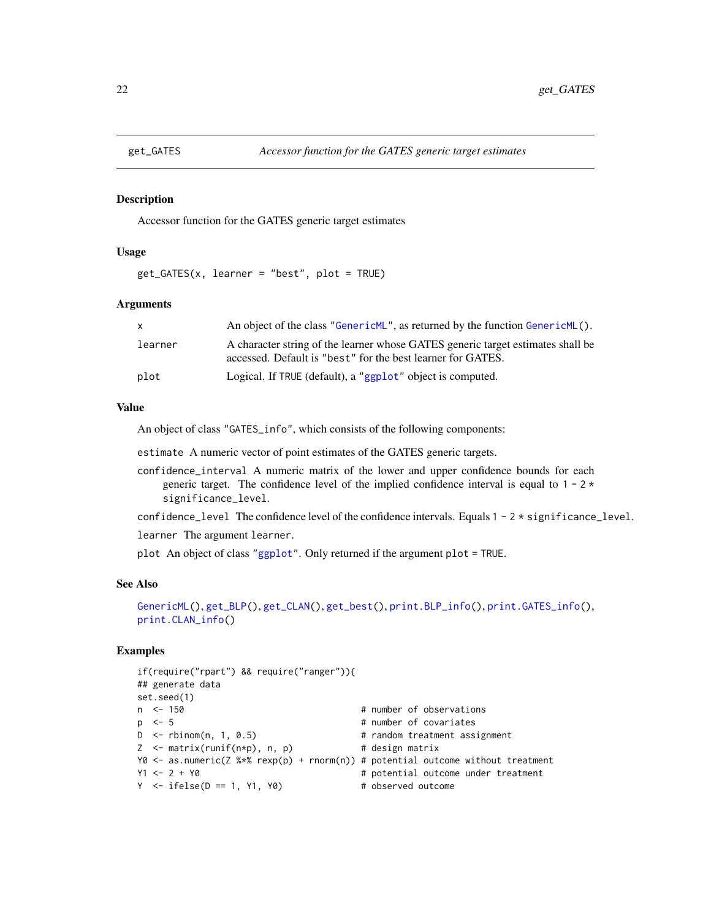<span id="page-21-1"></span><span id="page-21-0"></span>

#### Description

Accessor function for the GATES generic target estimates

# Usage

get\_GATES(x, learner = "best", plot = TRUE)

## Arguments

|         | An object of the class "GenericML", as returned by the function GenericML().                                                                   |
|---------|------------------------------------------------------------------------------------------------------------------------------------------------|
| learner | A character string of the learner whose GATES generic target estimates shall be<br>accessed. Default is "best" for the best learner for GATES. |
| plot    | Logical. If TRUE (default), a "ggplot" object is computed.                                                                                     |

# Value

An object of class "GATES\_info", which consists of the following components:

estimate A numeric vector of point estimates of the GATES generic targets.

- confidence\_interval A numeric matrix of the lower and upper confidence bounds for each generic target. The confidence level of the implied confidence interval is equal to  $1 - 2 \times$ significance\_level.
- confidence\_level The confidence level of the confidence intervals. Equals  $1 2 \times$  significance\_level.

learner The argument learner.

plot An object of class ["ggplot"](#page-0-0). Only returned if the argument plot = TRUE.

# See Also

```
GenericML(), get_BLP(), get_CLAN(), get_best(), print.BLP_info(), print.GATES_info(),
print.CLAN_info()
```

```
if(require("rpart") && require("ranger")){
## generate data
set.seed(1)
n <- 150 + number of observations
p <- 5 # number of covariates
D <- rbinom(n, 1, 0.5) # random treatment assignment
Z \leq - matrix(runif(n*p), n, p) # design matrix
Y0 <- as.numeric(Z %*% rexp(p) + rnorm(n)) # potential outcome without treatment
Y1 <- 2 + Y0 \neq 2 + Y0 \neq 2 + Y0 \neq 2 + Y0 \neq 2 + Y0 \neq 2 + Y0 \neq 2 + Y0 \neq 2 + Y0 \neq 2 + Y0 \neq 2 + Y0 \neq 2 + Y0 \neq 2 + Y0 \neq 2 + Y0 \neq 2 + Y0 \neq 2 + Y0 \neq 2 + Y0 \neq 2 + Y0 Y \le - \text{ifelse}(D == 1, Y1, Y0) # observed outcome
```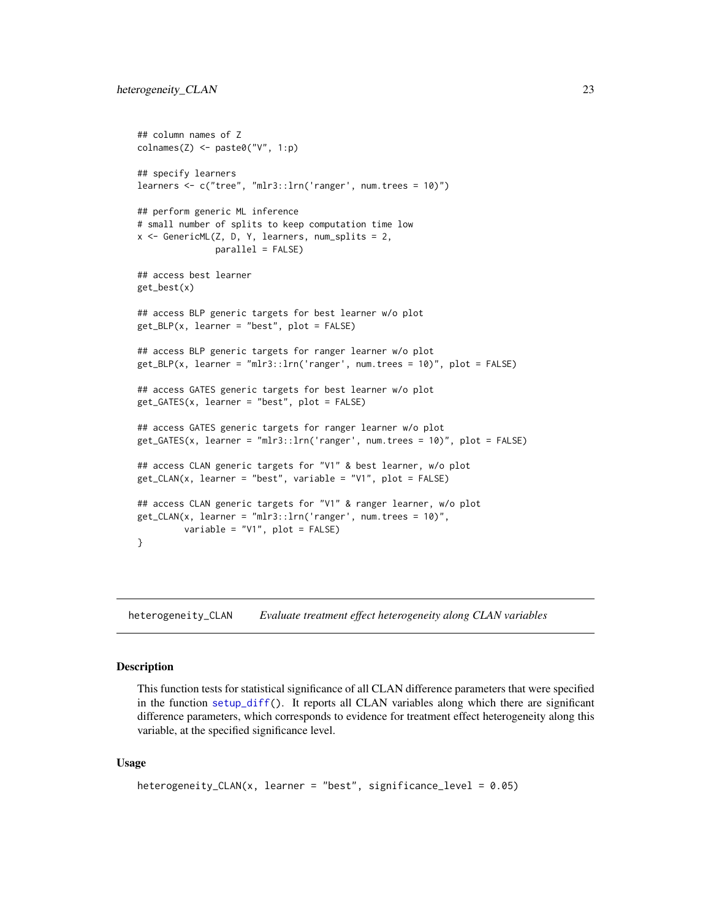```
## column names of Z
colnames(Z) <- paste0("V", 1:p)
## specify learners
learners <- c("tree", "mlr3::lrn('ranger', num.trees = 10)")
## perform generic ML inference
# small number of splits to keep computation time low
x \le GenericML(Z, D, Y, learners, num_splits = 2,
              parallel = FALSE)
## access best learner
get_best(x)
## access BLP generic targets for best learner w/o plot
get_BLP(x, learner = "best", plot = FALSE)
## access BLP generic targets for ranger learner w/o plot
get_BLP(x, learner = "mlr3::lrn('ranger', num.trees = 10)", plot = FALSE)
## access GATES generic targets for best learner w/o plot
get_GATES(x, learner = "best", plot = FALSE)
## access GATES generic targets for ranger learner w/o plot
get_GATES(x, learner = "mlr3::lrn('ranger', num.trees = 10)", plot = FALSE)
## access CLAN generic targets for "V1" & best learner, w/o plot
get_CLAN(x, learner = "best", variable = "V1", plot = FALSE)
## access CLAN generic targets for "V1" & ranger learner, w/o plot
get_CLAN(x, learner = "mlr3::lrn('ranger', num.trees = 10)",
        variable = "V1", plot = FALSE)
}
```
<span id="page-22-1"></span>heterogeneity\_CLAN *Evaluate treatment effect heterogeneity along CLAN variables*

#### **Description**

This function tests for statistical significance of all CLAN difference parameters that were specified in the function [setup\\_diff\(](#page-35-1)). It reports all CLAN variables along which there are significant difference parameters, which corresponds to evidence for treatment effect heterogeneity along this variable, at the specified significance level.

### Usage

```
heterogeneity_CLAN(x, learner = "best", significance_level = 0.05)
```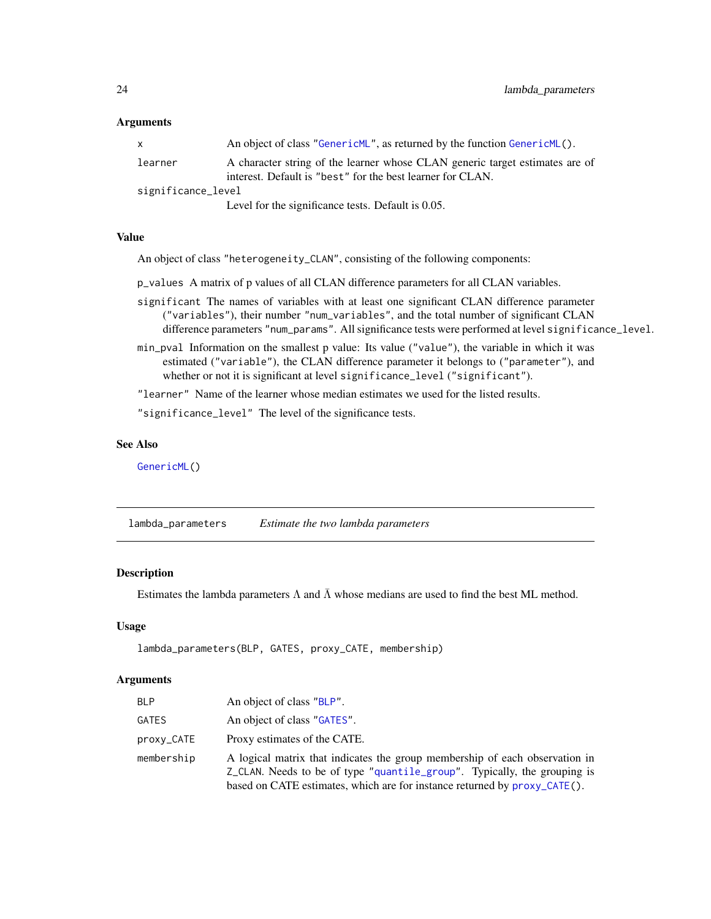# <span id="page-23-0"></span>Arguments

|                    | An object of class "GenericML", as returned by the function GenericML().     |  |
|--------------------|------------------------------------------------------------------------------|--|
| learner            | A character string of the learner whose CLAN generic target estimates are of |  |
|                    | interest. Default is "best" for the best learner for CLAN.                   |  |
| significance_level |                                                                              |  |
|                    | Level for the significance tests. Default is 0.05.                           |  |

# Value

An object of class "heterogeneity\_CLAN", consisting of the following components:

p\_values A matrix of p values of all CLAN difference parameters for all CLAN variables.

- significant The names of variables with at least one significant CLAN difference parameter ("variables"), their number "num\_variables", and the total number of significant CLAN difference parameters "num\_params". All significance tests were performed at level significance\_level.
- min\_pval Information on the smallest p value: Its value ("value"), the variable in which it was estimated ("variable"), the CLAN difference parameter it belongs to ("parameter"), and whether or not it is significant at level significance\_level ("significant").

"learner" Name of the learner whose median estimates we used for the listed results.

"significance\_level" The level of the significance tests.

#### See Also

[GenericML\(](#page-6-1))

<span id="page-23-1"></span>lambda\_parameters *Estimate the two lambda parameters*

# Description

Estimates the lambda parameters  $\Lambda$  and  $\overline{\Lambda}$  whose medians are used to find the best ML method.

# Usage

```
lambda_parameters(BLP, GATES, proxy_CATE, membership)
```
# Arguments

| <b>BLP</b> | An object of class "BLP".                                                                                                                                                                                                            |
|------------|--------------------------------------------------------------------------------------------------------------------------------------------------------------------------------------------------------------------------------------|
| GATES      | An object of class "GATES".                                                                                                                                                                                                          |
| proxy_CATE | Proxy estimates of the CATE.                                                                                                                                                                                                         |
| membership | A logical matrix that indicates the group membership of each observation in<br>Z_CLAN. Needs to be of type "quantile_group". Typically, the grouping is<br>based on CATE estimates, which are for instance returned by proxy_CATE(). |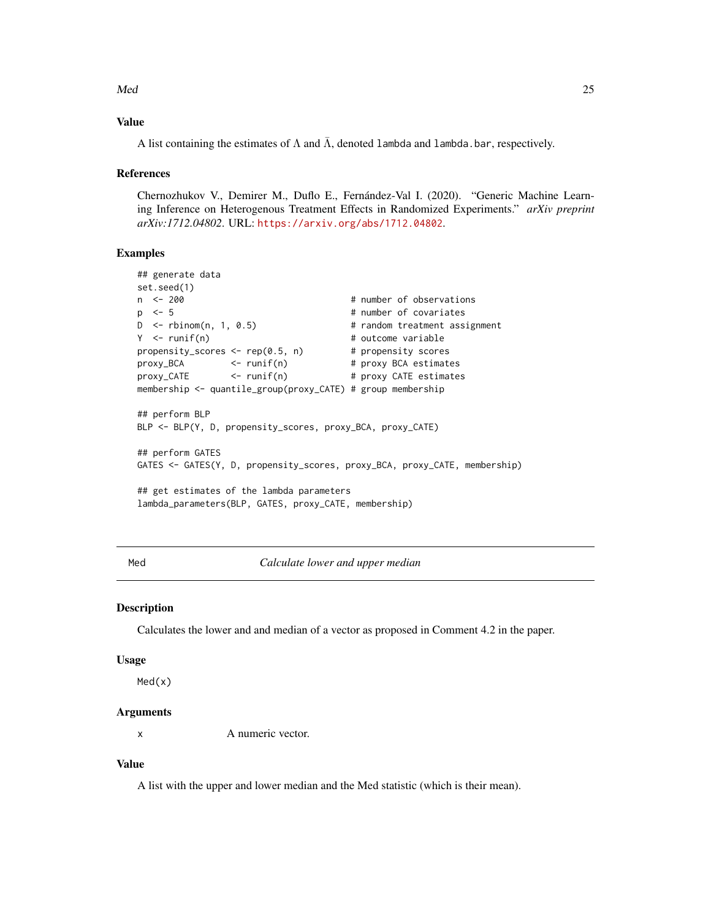<span id="page-24-0"></span> $\mathsf{Med}$  25

# Value

A list containing the estimates of  $\Lambda$  and  $\bar{\Lambda}$ , denoted lambda and lambda.bar, respectively.

# References

Chernozhukov V., Demirer M., Duflo E., Fernández-Val I. (2020). "Generic Machine Learning Inference on Heterogenous Treatment Effects in Randomized Experiments." *arXiv preprint arXiv:1712.04802*. URL: <https://arxiv.org/abs/1712.04802>.

# Examples

```
## generate data
set.seed(1)
n <- 200 # number of observations
p \le -5 # number of covariates
D <- rbinom(n, 1, 0.5) # random treatment assignment
Y <- runif(n) # outcome variable
propensity_scores <- rep(0.5, n) # propensity scores
proxy_BCA <- runif(n) # proxy BCA estimates
proxy_CATE <- runif(n) # proxy CATE estimates
membership <- quantile_group(proxy_CATE) # group membership
## perform BLP
BLP <- BLP(Y, D, propensity_scores, proxy_BCA, proxy_CATE)
## perform GATES
GATES <- GATES(Y, D, propensity_scores, proxy_BCA, proxy_CATE, membership)
## get estimates of the lambda parameters
lambda_parameters(BLP, GATES, proxy_CATE, membership)
```
Med *Calculate lower and upper median*

#### **Description**

Calculates the lower and and median of a vector as proposed in Comment 4.2 in the paper.

#### Usage

Med(x)

#### Arguments

x A numeric vector.

# Value

A list with the upper and lower median and the Med statistic (which is their mean).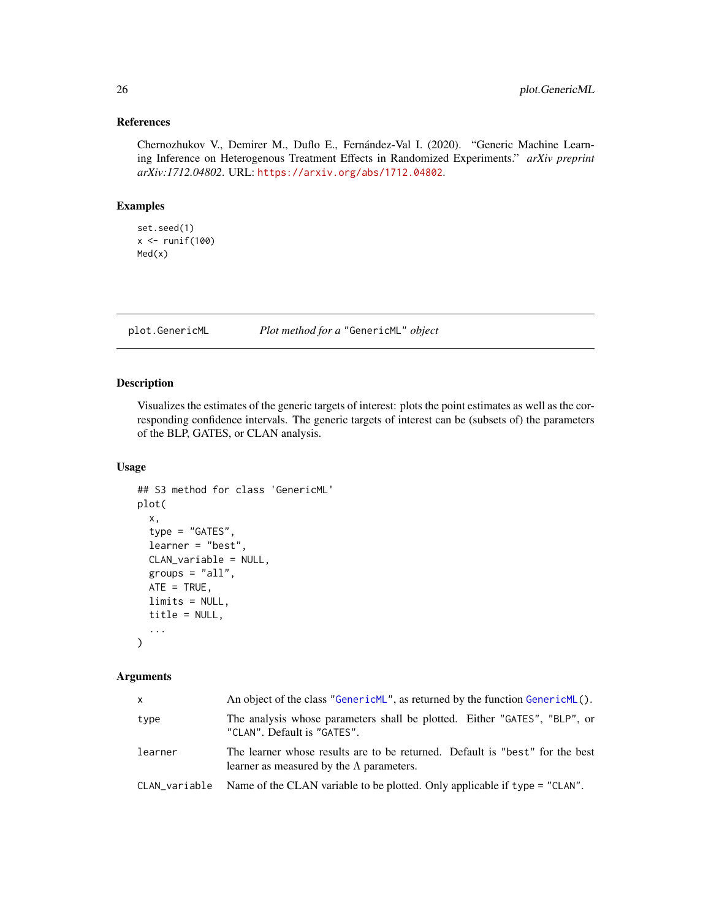# <span id="page-25-0"></span>References

Chernozhukov V., Demirer M., Duflo E., Fernández-Val I. (2020). "Generic Machine Learning Inference on Heterogenous Treatment Effects in Randomized Experiments." *arXiv preprint arXiv:1712.04802*. URL: <https://arxiv.org/abs/1712.04802>.

# Examples

```
set.seed(1)
x <- runif(100)
Med(x)
```
<span id="page-25-1"></span>plot.GenericML *Plot method for a* "GenericML" *object*

# Description

Visualizes the estimates of the generic targets of interest: plots the point estimates as well as the corresponding confidence intervals. The generic targets of interest can be (subsets of) the parameters of the BLP, GATES, or CLAN analysis.

# Usage

```
## S3 method for class 'GenericML'
plot(
  x,
  type = "GATES",
  learner = "best",
 CLAN_variable = NULL,
 groups = "all",ATE = TRUE,limits = NULL,
  title = NULL,
  ...
)
```
# Arguments

| $\mathsf{x}$ | An object of the class "GenericML", as returned by the function GenericML $()$ .                                                 |
|--------------|----------------------------------------------------------------------------------------------------------------------------------|
| type         | The analysis whose parameters shall be plotted. Either "GATES", "BLP", or<br>"CLAN". Default is "GATES".                         |
| learner      | The learner whose results are to be returned. Default is "best" for the best<br>learner as measured by the $\Lambda$ parameters. |
|              | CLAN_variable Name of the CLAN variable to be plotted. Only applicable if type = "CLAN".                                         |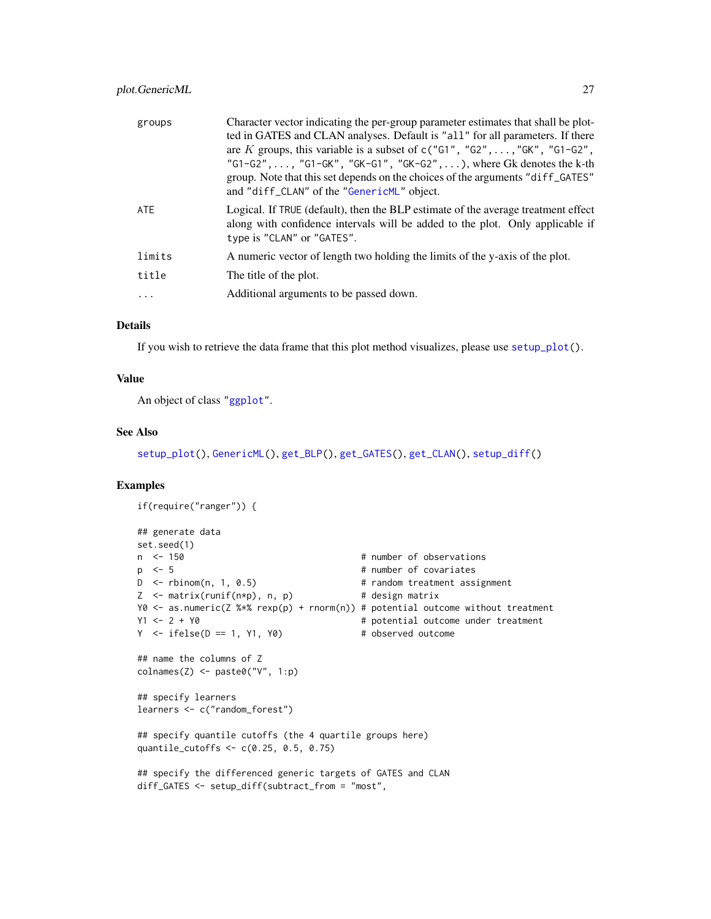<span id="page-26-0"></span>

| groups | Character vector indicating the per-group parameter estimates that shall be plot-<br>ted in GATES and CLAN analyses. Default is "all" for all parameters. If there<br>are K groups, this variable is a subset of $c("G1", "G2", \ldots, "GK", "G1-G2",$<br>"G1-G2", , "G1-GK", "GK-G1", "GK-G2", ), where Gk denotes the k-th<br>group. Note that this set depends on the choices of the arguments "diff_GATES"<br>and "diff_CLAN" of the "GenericML" object. |
|--------|---------------------------------------------------------------------------------------------------------------------------------------------------------------------------------------------------------------------------------------------------------------------------------------------------------------------------------------------------------------------------------------------------------------------------------------------------------------|
| ATE    | Logical. If TRUE (default), then the BLP estimate of the average treatment effect<br>along with confidence intervals will be added to the plot. Only applicable if<br>type is "CLAN" or "GATES".                                                                                                                                                                                                                                                              |
| limits | A numeric vector of length two holding the limits of the y-axis of the plot.                                                                                                                                                                                                                                                                                                                                                                                  |
| title  | The title of the plot.                                                                                                                                                                                                                                                                                                                                                                                                                                        |
| .      | Additional arguments to be passed down.                                                                                                                                                                                                                                                                                                                                                                                                                       |
|        |                                                                                                                                                                                                                                                                                                                                                                                                                                                               |

# Details

If you wish to retrieve the data frame that this plot method visualizes, please use [setup\\_plot\(](#page-37-1)).

# Value

An object of class ["ggplot"](#page-0-0).

### See Also

[setup\\_plot\(](#page-37-1)), [GenericML\(](#page-6-1)), [get\\_BLP\(](#page-17-1)), [get\\_GATES\(](#page-21-1)), [get\\_CLAN\(](#page-19-1)), [setup\\_diff\(](#page-35-1))

```
if(require("ranger")) {
## generate data
set.seed(1)
n <- 150 + number of observations
p <- 5 # number of covariates
D \le rbinom(n, 1, 0.5) # random treatment assignment
Z <- matrix(runif(n*p), n, p) # design matrix
Y0 <- as.numeric(Z %*% rexp(p) + rnorm(n)) # potential outcome without treatment
Y1 <- 2 + Y0 # potential outcome under treatment
Y \le - \text{ifelse}(D == 1, Y1, Y0) # observed outcome
## name the columns of Z
\text{colnames}(Z) \leftarrow \text{paste0("V", 1:p)}## specify learners
learners <- c("random_forest")
## specify quantile cutoffs (the 4 quartile groups here)
quantile_cutoffs <- c(0.25, 0.5, 0.75)
## specify the differenced generic targets of GATES and CLAN
diff_GATES <- setup_diff(subtract_from = "most",
```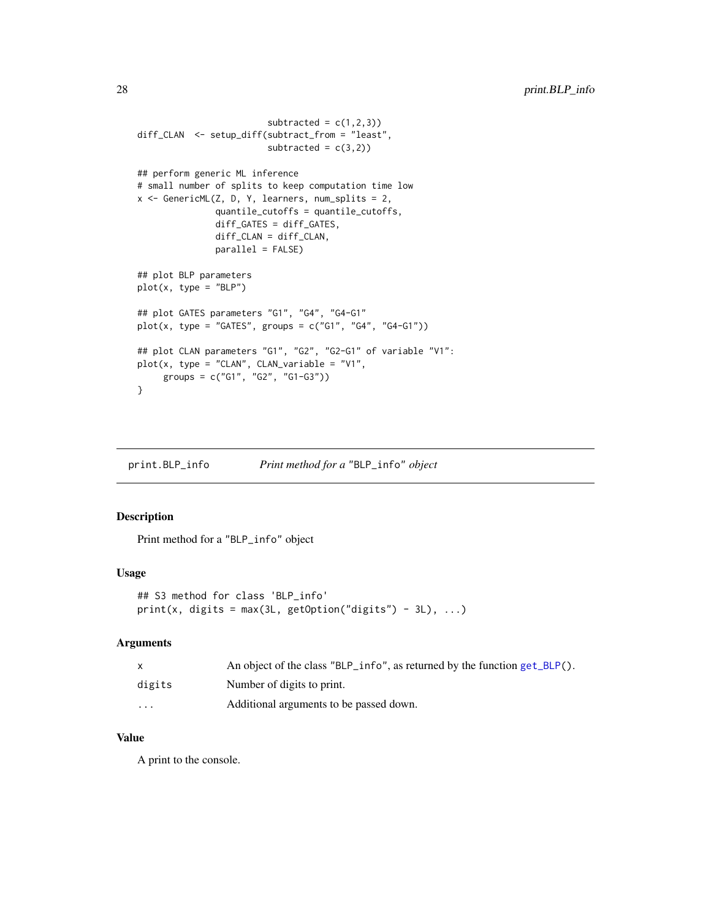```
subtracted = c(1,2,3))
diff_CLAN <- setup_diff(subtract_from = "least",
                         subtracted = c(3,2))
## perform generic ML inference
# small number of splits to keep computation time low
x \le GenericML(Z, D, Y, learners, num_splits = 2,
               quantile_cutoffs = quantile_cutoffs,
               diff_GATES = diff_GATES,
               diff_CLAN = diff_CLAN,
               parallel = FALSE)
## plot BLP parameters
plot(x, type = "BLP")## plot GATES parameters "G1", "G4", "G4-G1"
plot(x, type = "GATES", groups = c("G1", "G4", "G4-G1"))## plot CLAN parameters "G1", "G2", "G2-G1" of variable "V1":
plot(x, type = "CLAN", CLAN\_variable = "V1",groups = c("G1", "G2", "G1-G3"))
}
```
<span id="page-27-1"></span>print.BLP\_info *Print method for a* "BLP\_info" *object*

# Description

Print method for a "BLP\_info" object

# Usage

```
## S3 method for class 'BLP_info'
print(x, digits = max(3L, getOption("digits") - 3L), ...)
```
# Arguments

|          | An object of the class "BLP_info", as returned by the function $get\_BLP()$ . |
|----------|-------------------------------------------------------------------------------|
| digits   | Number of digits to print.                                                    |
| $\cdots$ | Additional arguments to be passed down.                                       |

# Value

A print to the console.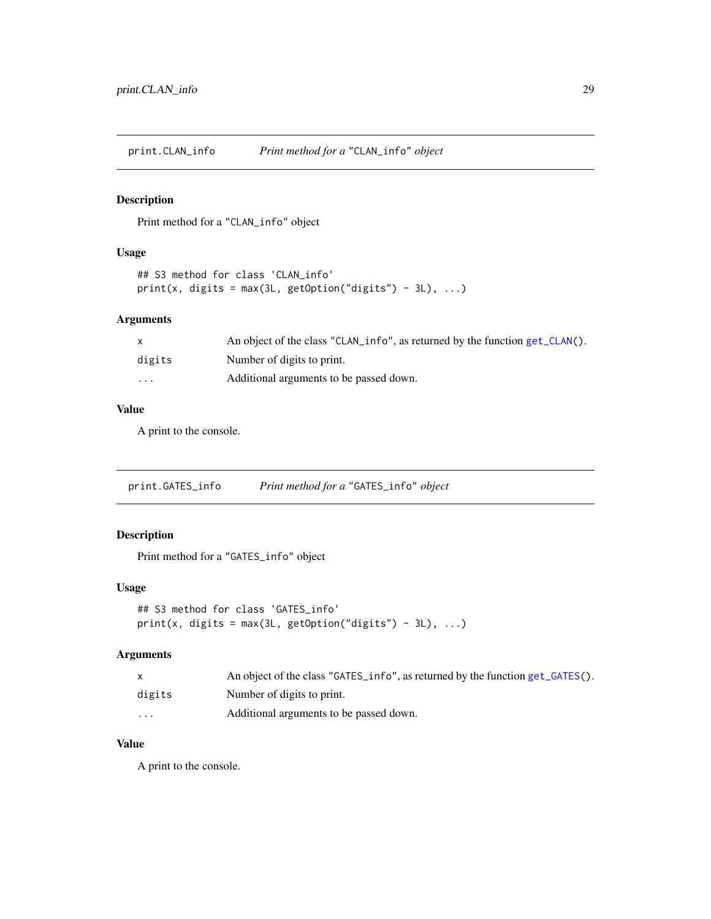<span id="page-28-2"></span><span id="page-28-0"></span>print.CLAN\_info *Print method for a* "CLAN\_info" *object*

# Description

Print method for a "CLAN\_info" object

# Usage

```
## S3 method for class 'CLAN_info'
print(x, digits = max(3L, getOption("digits") - 3L), ...)
```
# Arguments

|          | An object of the class "CLAN_info", as returned by the function $get\_CLAN()$ . |
|----------|---------------------------------------------------------------------------------|
| digits   | Number of digits to print.                                                      |
| $\cdots$ | Additional arguments to be passed down.                                         |

# Value

A print to the console.

<span id="page-28-1"></span>print.GATES\_info *Print method for a* "GATES\_info" *object*

# Description

Print method for a "GATES\_info" object

# Usage

```
## S3 method for class 'GATES_info'
print(x, digits = max(3L, getOption("digits") - 3L), ...)
```
# Arguments

|                      | An object of the class "GATES_info", as returned by the function get_GATES(). |
|----------------------|-------------------------------------------------------------------------------|
| digits               | Number of digits to print.                                                    |
| $\ddot{\phantom{0}}$ | Additional arguments to be passed down.                                       |

# Value

A print to the console.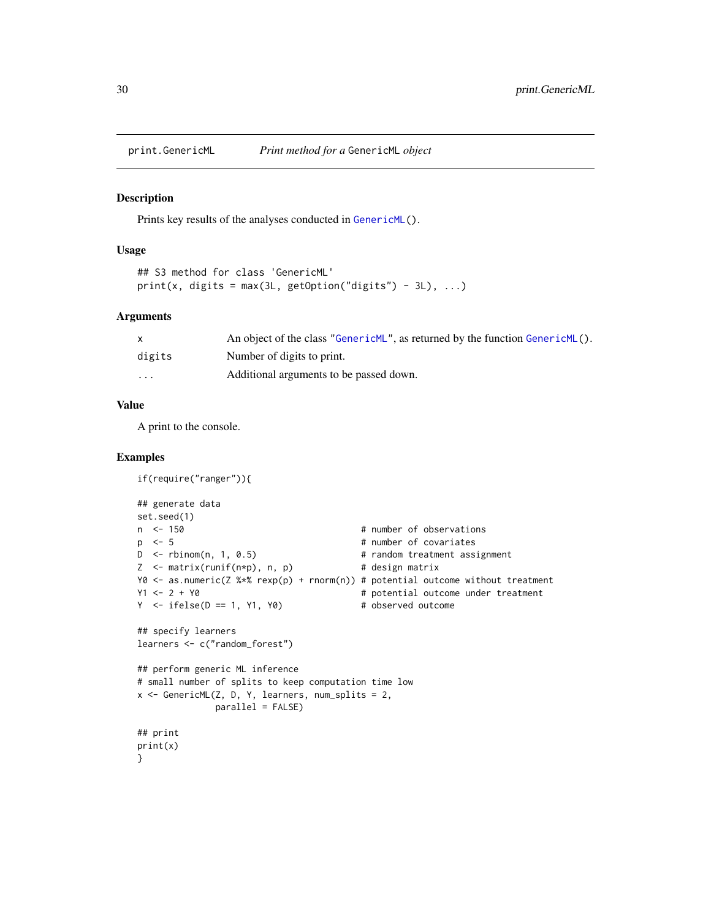<span id="page-29-1"></span><span id="page-29-0"></span>

#### Description

Prints key results of the analyses conducted in [GenericML\(](#page-6-1)).

#### Usage

```
## S3 method for class 'GenericML'
print(x, digits = max(3L, getOption("digits") - 3L), ...)
```
#### Arguments

|          | An object of the class "Generic ML", as returned by the function Generic ML(). |
|----------|--------------------------------------------------------------------------------|
| digits   | Number of digits to print.                                                     |
| $\cdots$ | Additional arguments to be passed down.                                        |

# Value

A print to the console.

```
if(require("ranger")){
## generate data
set.seed(1)
n <- 150 \blacksquare # number of observations
p \leq 5 # number of covariates
D \le rbinom(n, 1, 0.5) # random treatment assignment
Z <- matrix(runif(n*p), n, p) # design matrix
Y0 <- as.numeric(Z %*% rexp(p) + rnorm(n)) # potential outcome without treatment<br>Y1 <- 2 + Y0 \qquad # potential outcome under treatment
                                         # potential outcome under treatment
Y \le - ifelse(D == 1, Y1, Y0) # observed outcome
## specify learners
learners <- c("random_forest")
## perform generic ML inference
# small number of splits to keep computation time low
x \le GenericML(Z, D, Y, learners, num_splits = 2,
              parallel = FALSE)
## print
print(x)
}
```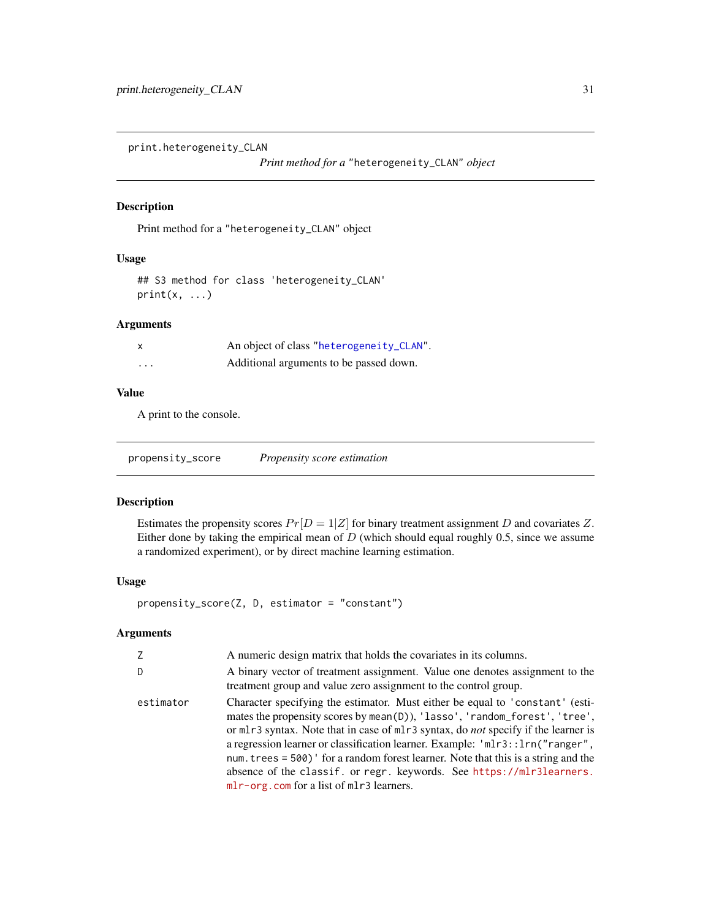<span id="page-30-0"></span>print.heterogeneity\_CLAN

*Print method for a* "heterogeneity\_CLAN" *object*

# Description

Print method for a "heterogeneity\_CLAN" object

# Usage

## S3 method for class 'heterogeneity\_CLAN'  $print(x, \ldots)$ 

# Arguments

| X | An object of class "heterogeneity_CLAN". |
|---|------------------------------------------|
| . | Additional arguments to be passed down.  |

# Value

A print to the console.

<span id="page-30-1"></span>propensity\_score *Propensity score estimation*

# Description

Estimates the propensity scores  $Pr[D = 1|Z]$  for binary treatment assignment D and covariates Z. Either done by taking the empirical mean of  $D$  (which should equal roughly 0.5, since we assume a randomized experiment), or by direct machine learning estimation.

# Usage

propensity\_score(Z, D, estimator = "constant")

# Arguments

| Z         | A numeric design matrix that holds the covariates in its columns.                                                                                                                                                                                                                                                                                                                                                                                                                                                                                       |
|-----------|---------------------------------------------------------------------------------------------------------------------------------------------------------------------------------------------------------------------------------------------------------------------------------------------------------------------------------------------------------------------------------------------------------------------------------------------------------------------------------------------------------------------------------------------------------|
| D.        | A binary vector of treatment assignment. Value one denotes assignment to the<br>treatment group and value zero assignment to the control group.                                                                                                                                                                                                                                                                                                                                                                                                         |
| estimator | Character specifying the estimator. Must either be equal to 'constant' (esti-<br>mates the propensity scores by mean(D)), 'lasso', 'random_forest', 'tree',<br>or mlr3 syntax. Note that in case of mlr3 syntax, do <i>not</i> specify if the learner is<br>a regression learner or classification learner. Example: 'mlr3::lrn("ranger",<br>num. trees = $500$ ) ' for a random forest learner. Note that this is a string and the<br>absence of the classif. or regr. keywords. See https://mlr3learners.<br>mlr-org.com for a list of mlr3 learners. |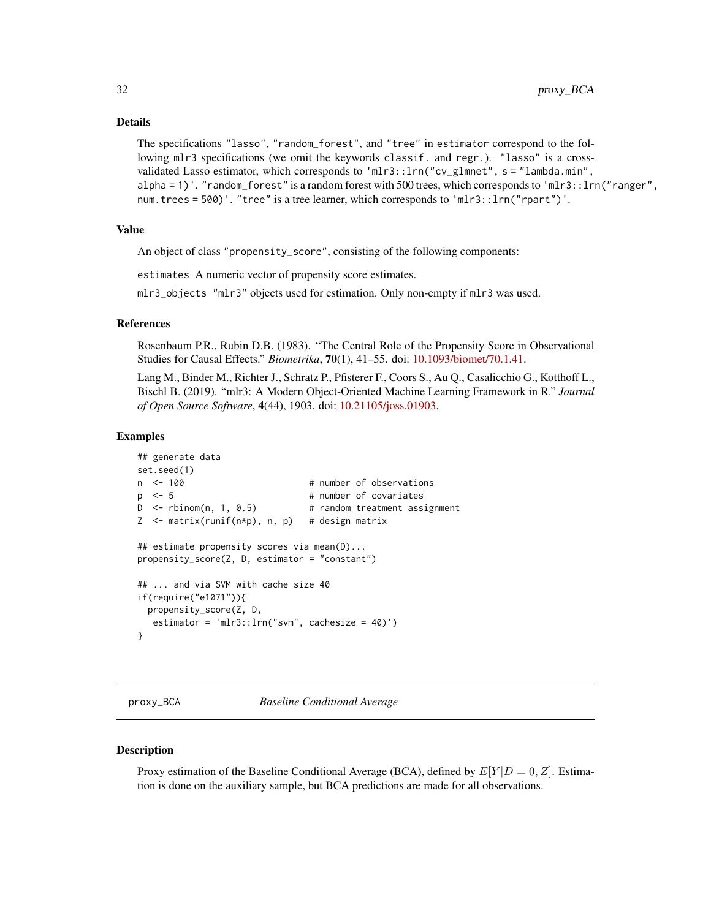#### <span id="page-31-0"></span>Details

The specifications "lasso", "random\_forest", and "tree" in estimator correspond to the following mlr3 specifications (we omit the keywords classif. and regr.). "lasso" is a crossvalidated Lasso estimator, which corresponds to 'mlr3::lrn("cv\_glmnet", s = "lambda.min", alpha = 1)'. "random\_forest" is a random forest with 500 trees, which corresponds to 'mlr3::lrn("ranger", num.trees = 500)'. "tree" is a tree learner, which corresponds to 'mlr3::lrn("rpart")'.

#### Value

An object of class "propensity\_score", consisting of the following components:

estimates A numeric vector of propensity score estimates.

mlr3\_objects "mlr3" objects used for estimation. Only non-empty if mlr3 was used.

# References

Rosenbaum P.R., Rubin D.B. (1983). "The Central Role of the Propensity Score in Observational Studies for Causal Effects." *Biometrika*, 70(1), 41–55. doi: [10.1093/biomet/70.1.41.](https://doi.org/10.1093/biomet/70.1.41)

Lang M., Binder M., Richter J., Schratz P., Pfisterer F., Coors S., Au Q., Casalicchio G., Kotthoff L., Bischl B. (2019). "mlr3: A Modern Object-Oriented Machine Learning Framework in R." *Journal of Open Source Software*, 4(44), 1903. doi: [10.21105/joss.01903.](https://doi.org/10.21105/joss.01903)

#### Examples

```
## generate data
set.seed(1)
n <- 100 # number of observations
p \leq 5 # number of covariates
D \le rbinom(n, 1, 0.5) # random treatment assignment
Z \leq - matrix(runif(n*p), n, p) # design matrix
## estimate propensity scores via mean(D)...
propensity_score(Z, D, estimator = "constant")
## ... and via SVM with cache size 40
if(require("e1071")){
 propensity_score(Z, D,
  estimator = 'mlr3::lrn("swm", cachesize = 40)')}
```
<span id="page-31-1"></span>proxy\_BCA *Baseline Conditional Average*

#### **Description**

Proxy estimation of the Baseline Conditional Average (BCA), defined by  $E[Y|D = 0, Z]$ . Estimation is done on the auxiliary sample, but BCA predictions are made for all observations.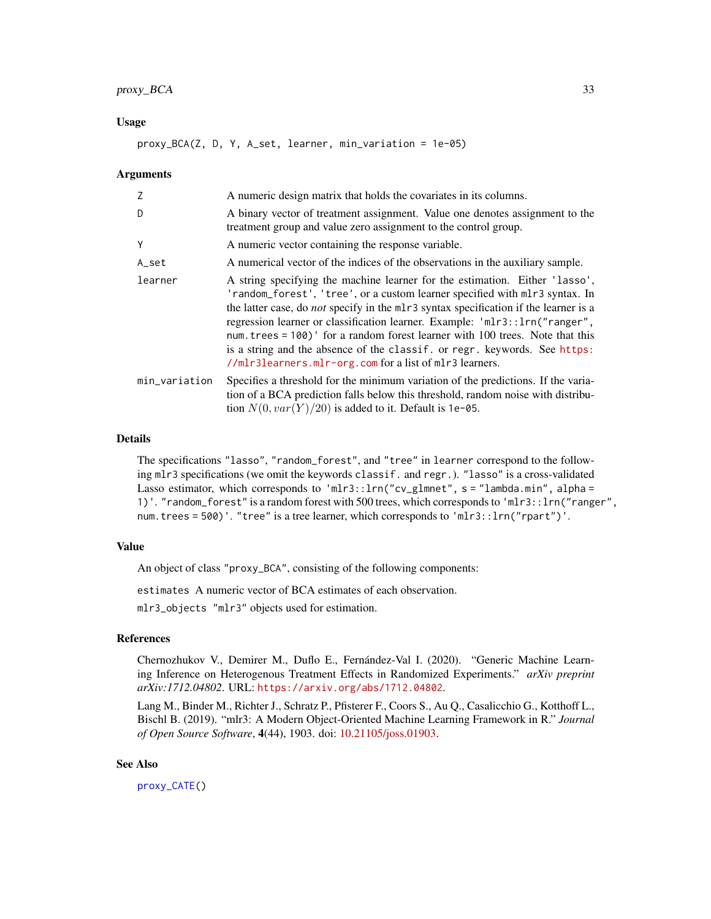# <span id="page-32-0"></span>proxy\_BCA 33

# Usage

proxy\_BCA(Z, D, Y, A\_set, learner, min\_variation = 1e-05)

#### Arguments

| Z             | A numeric design matrix that holds the covariates in its columns.                                                                                                                                                                                                                                                                                                                                                                                                                                                                                                   |
|---------------|---------------------------------------------------------------------------------------------------------------------------------------------------------------------------------------------------------------------------------------------------------------------------------------------------------------------------------------------------------------------------------------------------------------------------------------------------------------------------------------------------------------------------------------------------------------------|
| D             | A binary vector of treatment assignment. Value one denotes assignment to the<br>treatment group and value zero assignment to the control group.                                                                                                                                                                                                                                                                                                                                                                                                                     |
| Y             | A numeric vector containing the response variable.                                                                                                                                                                                                                                                                                                                                                                                                                                                                                                                  |
| A_set         | A numerical vector of the indices of the observations in the auxiliary sample.                                                                                                                                                                                                                                                                                                                                                                                                                                                                                      |
| learner       | A string specifying the machine learner for the estimation. Either 'lasso',<br>'random_forest', 'tree', or a custom learner specified with mlr3 syntax. In<br>the latter case, do <i>not</i> specify in the ml r3 syntax specification if the learner is a<br>regression learner or classification learner. Example: 'mlr3::lrn("ranger",<br>num. trees = 100) ' for a random forest learner with 100 trees. Note that this<br>is a string and the absence of the classif. or regr. keywords. See https:<br>//mlr3learners.mlr-org.com for a list of mlr3 learners. |
| min_variation | Specifies a threshold for the minimum variation of the predictions. If the varia-<br>tion of a BCA prediction falls below this threshold, random noise with distribu-<br>tion $N(0, var(Y)/20)$ is added to it. Default is 1e-05.                                                                                                                                                                                                                                                                                                                                   |

# Details

The specifications "lasso", "random\_forest", and "tree" in learner correspond to the following mlr3 specifications (we omit the keywords classif. and regr.). "lasso" is a cross-validated Lasso estimator, which corresponds to 'mlr3::lrn("cv\_glmnet", s = "lambda.min", alpha = 1)'. "random\_forest" is a random forest with 500 trees, which corresponds to 'mlr3::lrn("ranger", num.trees = 500)'. "tree" is a tree learner, which corresponds to 'mlr3::lrn("rpart")'.

# Value

An object of class "proxy\_BCA", consisting of the following components:

estimates A numeric vector of BCA estimates of each observation.

mlr3\_objects "mlr3" objects used for estimation.

# References

Chernozhukov V., Demirer M., Duflo E., Fernández-Val I. (2020). "Generic Machine Learning Inference on Heterogenous Treatment Effects in Randomized Experiments." *arXiv preprint arXiv:1712.04802*. URL: <https://arxiv.org/abs/1712.04802>.

Lang M., Binder M., Richter J., Schratz P., Pfisterer F., Coors S., Au Q., Casalicchio G., Kotthoff L., Bischl B. (2019). "mlr3: A Modern Object-Oriented Machine Learning Framework in R." *Journal of Open Source Software*, 4(44), 1903. doi: [10.21105/joss.01903.](https://doi.org/10.21105/joss.01903)

# See Also

[proxy\\_CATE\(](#page-33-1))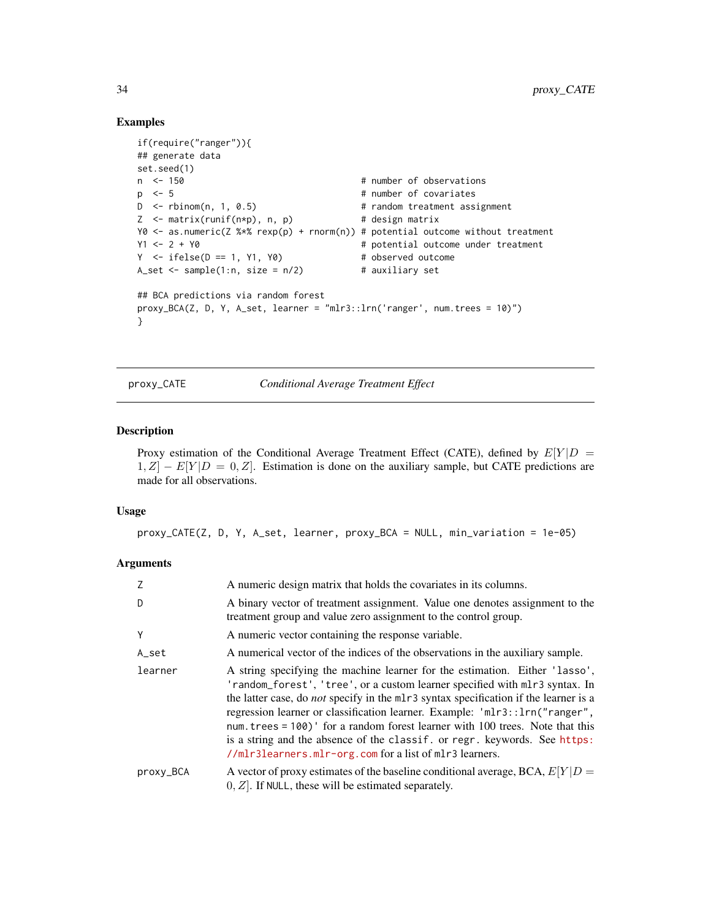# Examples

```
if(require("ranger")){
## generate data
set.seed(1)
n < 150 # number of observations
p \leq 5 # number of covariates
D <- rbinom(n, 1, 0.5) # random treatment assignment
Z <- matrix(runif(n*p), n, p) # design matrix
Y0 <- as.numeric(Z %*% rexp(p) + rnorm(n)) # potential outcome without treatment
Y1 <- 2 + Y0 \neq potential outcome under treatment
Y \le - \text{ifelse}(D == 1, Y1, Y0) # observed outcome
A_set \le sample(1:n, size = n/2) # auxiliary set
## BCA predictions via random forest
proxy_BCA(Z, D, Y, A_set, learner = "mlr3::lrn('ranger', num.trees = 10)")
}
```
<span id="page-33-1"></span>proxy\_CATE *Conditional Average Treatment Effect*

#### Description

Proxy estimation of the Conditional Average Treatment Effect (CATE), defined by  $E[Y|D]$  $1, Z$  –  $E[Y|D = 0, Z]$ . Estimation is done on the auxiliary sample, but CATE predictions are made for all observations.

#### Usage

proxy\_CATE(Z, D, Y, A\_set, learner, proxy\_BCA = NULL, min\_variation = 1e-05)

#### Arguments

| Z         | A numeric design matrix that holds the covariates in its columns.                                                                                                                                                                                                                                                                                                                                                                                                                                                                                                    |
|-----------|----------------------------------------------------------------------------------------------------------------------------------------------------------------------------------------------------------------------------------------------------------------------------------------------------------------------------------------------------------------------------------------------------------------------------------------------------------------------------------------------------------------------------------------------------------------------|
| D         | A binary vector of treatment assignment. Value one denotes assignment to the<br>treatment group and value zero assignment to the control group.                                                                                                                                                                                                                                                                                                                                                                                                                      |
| Y         | A numeric vector containing the response variable.                                                                                                                                                                                                                                                                                                                                                                                                                                                                                                                   |
| A_set     | A numerical vector of the indices of the observations in the auxiliary sample.                                                                                                                                                                                                                                                                                                                                                                                                                                                                                       |
| learner   | A string specifying the machine learner for the estimation. Either 'lasso',<br>'random_forest', 'tree', or a custom learner specified with mlr3 syntax. In<br>the latter case, do <i>not</i> specify in the mlr3 syntax specification if the learner is a<br>regression learner or classification learner. Example: 'mlr3::lrn("ranger",<br>num. trees = $100$ )' for a random forest learner with 100 trees. Note that this<br>is a string and the absence of the classif. or regr. keywords. See https:<br>//mlr3learners.mlr-org.com for a list of mlr3 learners. |
| proxy_BCA | A vector of proxy estimates of the baseline conditional average, BCA, $E[Y D =$<br>$[0, Z]$ . If NULL, these will be estimated separately.                                                                                                                                                                                                                                                                                                                                                                                                                           |

<span id="page-33-0"></span>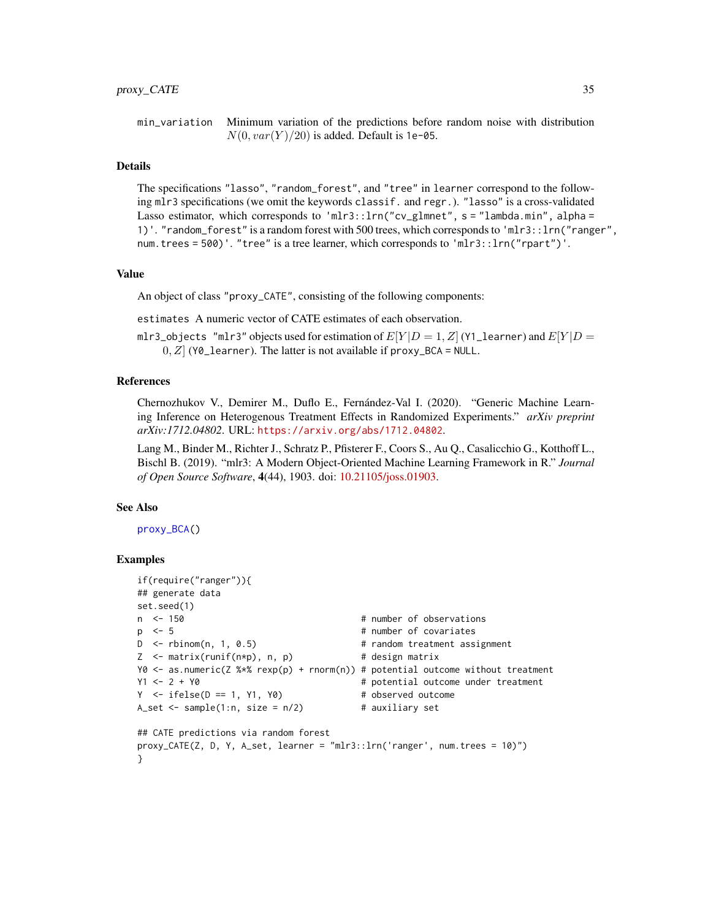<span id="page-34-0"></span>min\_variation Minimum variation of the predictions before random noise with distribution  $N(0, var(Y)/20)$  is added. Default is 1e-05.

# Details

The specifications "lasso", "random\_forest", and "tree" in learner correspond to the following mlr3 specifications (we omit the keywords classif. and regr.). "lasso" is a cross-validated Lasso estimator, which corresponds to 'mlr3:: $\text{lrn}$ " cv\_glmnet", s = "lambda.min", alpha = 1)'. "random\_forest" is a random forest with 500 trees, which corresponds to 'mlr3::lrn("ranger", num.trees = 500)'. "tree" is a tree learner, which corresponds to 'mlr3::lrn("rpart")'.

# Value

An object of class "proxy\_CATE", consisting of the following components:

estimates A numeric vector of CATE estimates of each observation.

mlr3\_objects "mlr3" objects used for estimation of  $E[Y|D = 1, Z]$  (Y1\_learner) and  $E[Y|D = 1]$  $[0, Z]$  (Y0\_learner). The latter is not available if proxy\_BCA = NULL.

# References

Chernozhukov V., Demirer M., Duflo E., Fernández-Val I. (2020). "Generic Machine Learning Inference on Heterogenous Treatment Effects in Randomized Experiments." *arXiv preprint arXiv:1712.04802*. URL: <https://arxiv.org/abs/1712.04802>.

Lang M., Binder M., Richter J., Schratz P., Pfisterer F., Coors S., Au Q., Casalicchio G., Kotthoff L., Bischl B. (2019). "mlr3: A Modern Object-Oriented Machine Learning Framework in R." *Journal of Open Source Software*, 4(44), 1903. doi: [10.21105/joss.01903.](https://doi.org/10.21105/joss.01903)

#### See Also

[proxy\\_BCA\(](#page-31-1))

```
if(require("ranger")){
## generate data
set.seed(1)
n <- 150 + number of observations
p \leq 5 # number of covariates
D <- rbinom(n, 1, 0.5) # random treatment assignment
Z \le - matrix(runif(n*p), n, p) # design matrix
Y0 <- as.numeric(Z %*% rexp(p) + rnorm(n)) # potential outcome without treatment
Y1 <- 2 + Y0 \neq Potential outcome under treatment
Y \le - \text{ifelse}(D == 1, Y1, Y0) # observed outcome
A_set \le sample(1:n, size = n/2) # auxiliary set
## CATE predictions via random forest
proxy_CATE(Z, D, Y, A_set, learner = "mlr3::lrn('ranger', num.trees = 10)")
}
```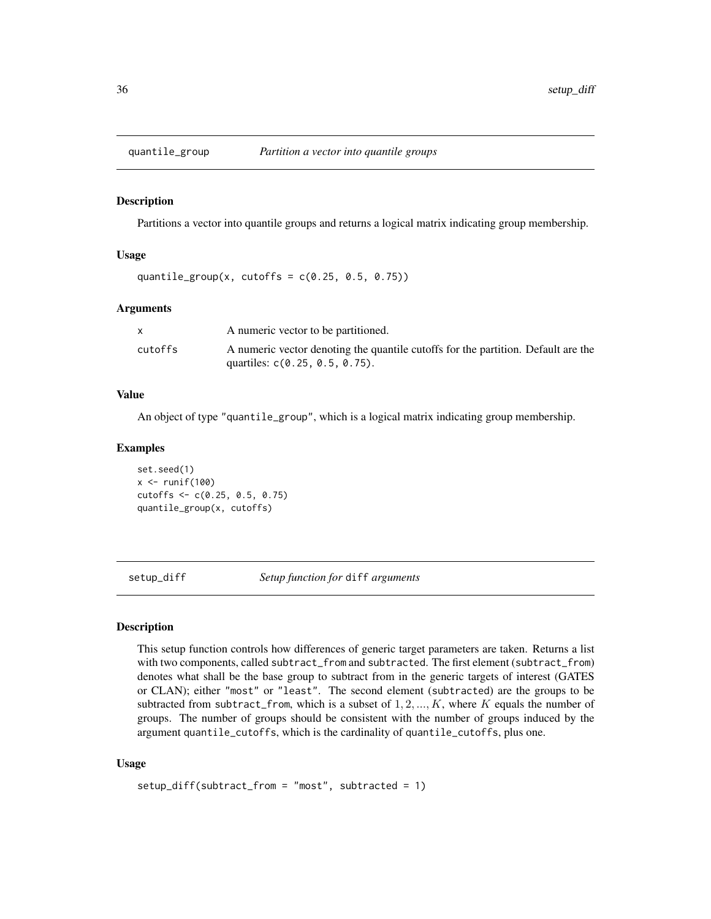<span id="page-35-2"></span><span id="page-35-0"></span>

# Description

Partitions a vector into quantile groups and returns a logical matrix indicating group membership.

# Usage

```
quantile_group(x, cutoffs = c(0.25, 0.5, 0.75))
```
#### Arguments

|         | A numeric vector to be partitioned.                                               |
|---------|-----------------------------------------------------------------------------------|
| cutoffs | A numeric vector denoting the quantile cutoffs for the partition. Default are the |
|         | quartiles: $c(0.25, 0.5, 0.75)$ .                                                 |

#### Value

An object of type "quantile\_group", which is a logical matrix indicating group membership.

# Examples

set.seed(1)  $x \leftarrow runif(100)$ cutoffs <- c(0.25, 0.5, 0.75) quantile\_group(x, cutoffs)

<span id="page-35-1"></span>setup\_diff *Setup function for* diff *arguments*

# Description

This setup function controls how differences of generic target parameters are taken. Returns a list with two components, called subtract\_from and subtracted. The first element (subtract\_from) denotes what shall be the base group to subtract from in the generic targets of interest (GATES or CLAN); either "most" or "least". The second element (subtracted) are the groups to be subtracted from subtract\_from, which is a subset of  $1, 2, ..., K$ , where K equals the number of groups. The number of groups should be consistent with the number of groups induced by the argument quantile\_cutoffs, which is the cardinality of quantile\_cutoffs, plus one.

# Usage

```
setup_diff(subtract_from = "most", subtracted = 1)
```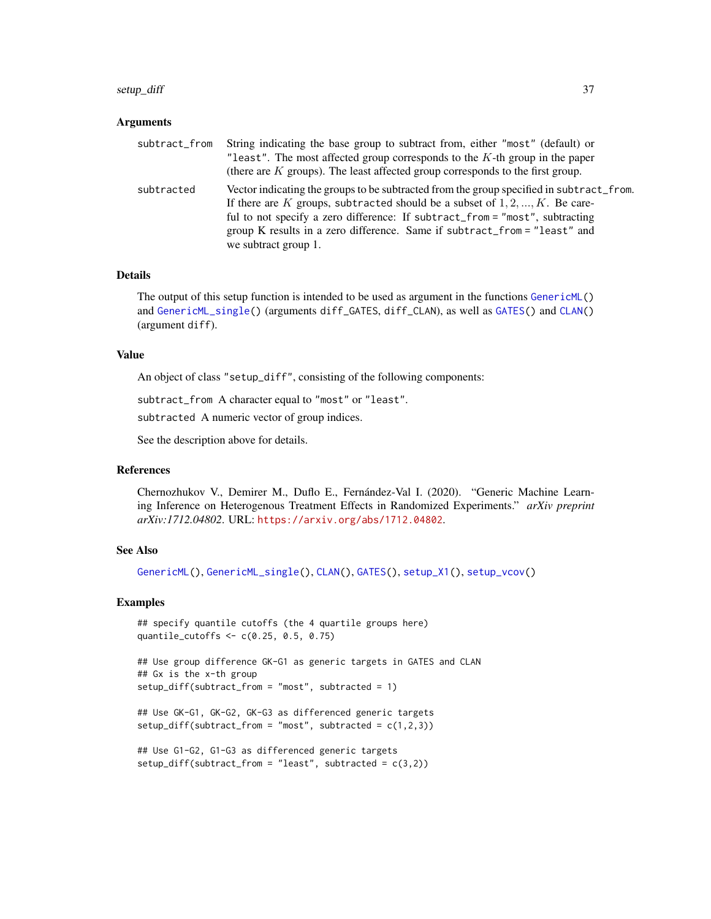#### <span id="page-36-0"></span>setup\_diff 37

#### Arguments

| subtract_from | String indicating the base group to subtract from, either "most" (default) or                                                                                                                                                                                                                                                                                   |
|---------------|-----------------------------------------------------------------------------------------------------------------------------------------------------------------------------------------------------------------------------------------------------------------------------------------------------------------------------------------------------------------|
|               | "least". The most affected group corresponds to the $K$ -th group in the paper<br>(there are $K$ groups). The least affected group corresponds to the first group.                                                                                                                                                                                              |
| subtracted    | Vector indicating the groups to be subtracted from the group specified in subtract_from.<br>If there are K groups, subtracted should be a subset of $1, 2, , K$ . Be care-<br>ful to not specify a zero difference: If subtract_from = "most", subtracting<br>group K results in a zero difference. Same if subtract_from = "least" and<br>we subtract group 1. |

#### Details

The output of this setup function is intended to be used as argument in the functions [GenericML\(](#page-6-1)) and [GenericML\\_single\(](#page-13-1)) (arguments diff\_GATES, diff\_CLAN), as well as [GATES\(](#page-4-1)) and [CLAN\(](#page-3-1)) (argument diff).

#### Value

An object of class "setup\_diff", consisting of the following components:

subtract\_from A character equal to "most" or "least".

subtracted A numeric vector of group indices.

See the description above for details.

#### References

Chernozhukov V., Demirer M., Duflo E., Fernández-Val I. (2020). "Generic Machine Learning Inference on Heterogenous Treatment Effects in Randomized Experiments." *arXiv preprint arXiv:1712.04802*. URL: <https://arxiv.org/abs/1712.04802>.

# See Also

[GenericML\(](#page-6-1)), [GenericML\\_single\(](#page-13-1)), [CLAN\(](#page-3-1)), [GATES\(](#page-4-1)), [setup\\_X1\(](#page-41-1)), [setup\\_vcov\(](#page-40-1))

#### Examples

```
## specify quantile cutoffs (the 4 quartile groups here)
quantile_cutoffs <- c(0.25, 0.5, 0.75)
```
## Use group difference GK-G1 as generic targets in GATES and CLAN ## Gx is the x-th group setup\_diff(subtract\_from = "most", subtracted = 1)

```
## Use GK-G1, GK-G2, GK-G3 as differenced generic targets
setup\_diff(subtract\_from = "most", subtracted = c(1,2,3))
```

```
## Use G1-G2, G1-G3 as differenced generic targets
setup_diff(subtract_from = "least", subtracted = c(3,2))
```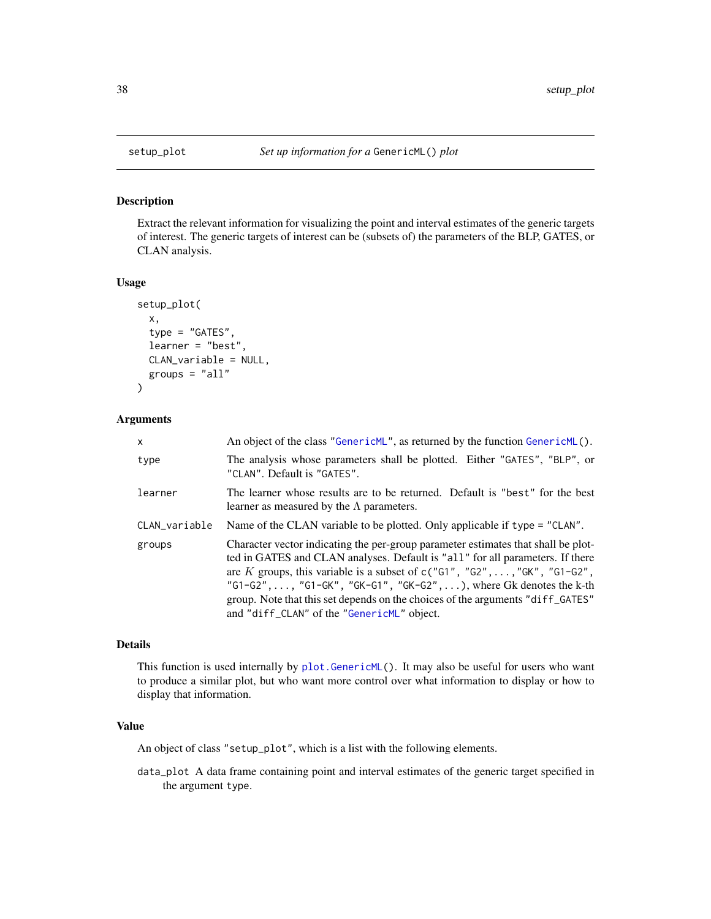<span id="page-37-1"></span><span id="page-37-0"></span>

#### Description

Extract the relevant information for visualizing the point and interval estimates of the generic targets of interest. The generic targets of interest can be (subsets of) the parameters of the BLP, GATES, or CLAN analysis.

# Usage

```
setup_plot(
  x,
  type = "GATES",
  learner = "best",
 CLAN_variable = NULL,
  groups = "all")
```
## Arguments

| $\mathsf{x}$  | An object of the class "GenericML", as returned by the function GenericML $()$ .                                                                                                                                                                                                                                                                                                                                                                                                 |
|---------------|----------------------------------------------------------------------------------------------------------------------------------------------------------------------------------------------------------------------------------------------------------------------------------------------------------------------------------------------------------------------------------------------------------------------------------------------------------------------------------|
| type          | The analysis whose parameters shall be plotted. Either "GATES", "BLP", or<br>"CLAN". Default is "GATES".                                                                                                                                                                                                                                                                                                                                                                         |
| learner       | The learner whose results are to be returned. Default is "best" for the best<br>learner as measured by the $\Lambda$ parameters.                                                                                                                                                                                                                                                                                                                                                 |
| CLAN_variable | Name of the CLAN variable to be plotted. Only applicable if type = "CLAN".                                                                                                                                                                                                                                                                                                                                                                                                       |
| groups        | Character vector indicating the per-group parameter estimates that shall be plot-<br>ted in GATES and CLAN analyses. Default is "all" for all parameters. If there<br>are K groups, this variable is a subset of $c("G1", "G2", \ldots, "GK", "G1-G2",$<br>" $G1-G2$ ", , " $G1-GK''$ , " $GK-G1''$ , " $GK-G2''$ , ), where Gk denotes the k-th<br>group. Note that this set depends on the choices of the arguments "diff_GATES"<br>and "diff_CLAN" of the "GenericML" object. |

# Details

This function is used internally by [plot.GenericML\(](#page-25-1)). It may also be useful for users who want to produce a similar plot, but who want more control over what information to display or how to display that information.

# Value

An object of class "setup\_plot", which is a list with the following elements.

data\_plot A data frame containing point and interval estimates of the generic target specified in the argument type.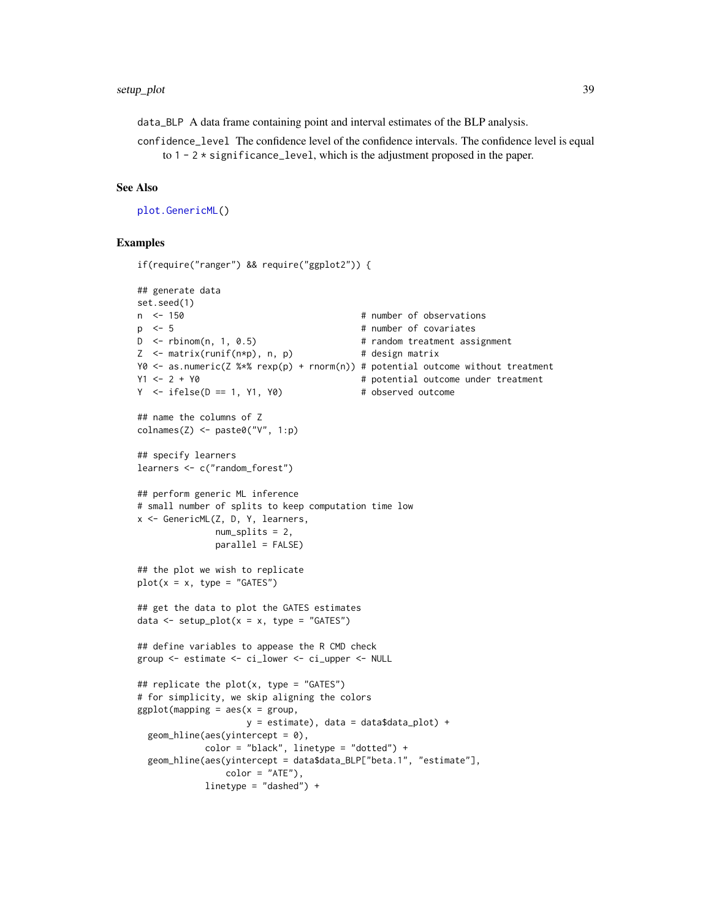<span id="page-38-0"></span>data\_BLP A data frame containing point and interval estimates of the BLP analysis.

confidence\_level The confidence level of the confidence intervals. The confidence level is equal to  $1 - 2 \times$  significance\_level, which is the adjustment proposed in the paper.

# See Also

[plot.GenericML\(](#page-25-1))

```
if(require("ranger") && require("ggplot2")) {
## generate data
set.seed(1)
n <- 150 \blacksquare 150 \blacksquare 100 \blacksquare 100 \blacksquare 100 \blacksquare 100 \blacksquare 100 \blacksquare 100 \blacksquare 100 \blacksquare 100 \blacksquare 100 \blacksquare 100 \blacksquare 100 \blacksquare 100 \blacksquare 100 \blacksquare 100 \blacksquare 100 \blacksquare 100 \blacksquare 100 \blacksquare 100 \blacksp \leq 5 \leq \leq p \leq 5D <- rbinom(n, 1, 0.5) # random treatment assignment
Z \leq - matrix(runif(n*p), n, p) # design matrix
Y0 <- as.numeric(Z %*% rexp(p) + rnorm(n)) # potential outcome without treatment
Y1 <- 2 + Y0 \neq Potential outcome under treatment
Y \le - \text{ifelse}(D == 1, Y1, Y0) # observed outcome
## name the columns of Z
colnames(Z) <- paste0("V", 1:p)
## specify learners
learners <- c("random_forest")
## perform generic ML inference
# small number of splits to keep computation time low
x <- GenericML(Z, D, Y, learners,
                 num_splits = 2,
                 parallel = FALSE)
## the plot we wish to replicate
plot(x = x, type = "GATES")## get the data to plot the GATES estimates
data \leq setup_plot(x = x, type = "GATES")
## define variables to appease the R CMD check
group <- estimate <- ci_lower <- ci_upper <- NULL
## replicate the plot(x, type = "GATES")
# for simplicity, we skip aligning the colors
ggplot(mapping = aes(x = group,y = estimate), data = data$data_plot) +
  geom\_hline(aes(yintercept = 0),color = "black", linetype = "dotted") +
  geom_hline(aes(yintercept = data$data_BLP["beta.1", "estimate"],
                   color = "ATE"),
               linetype = "dashed") +
```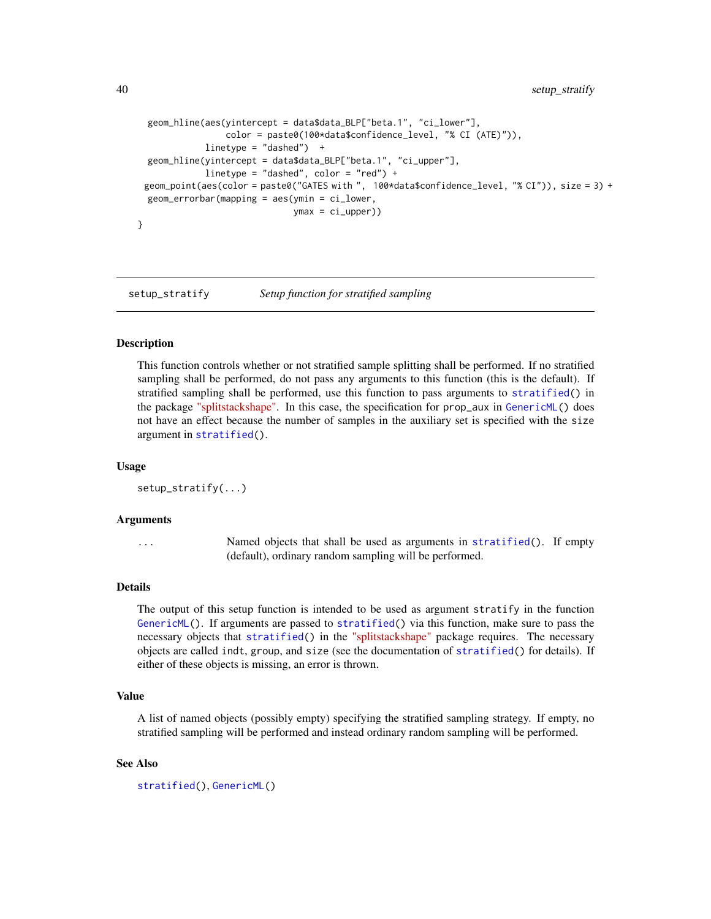```
geom_hline(aes(yintercept = data$data_BLP["beta.1", "ci_lower"],
                 color = paste0(100*data$confidence_level, "% CI (ATE)")),
             linetype = "dashed") +
 geom_hline(yintercept = data$data_BLP["beta.1", "ci_upper"],
             linetype = "dashed", color = "red") +
 geom_point(aes(color = paste0("GATES with ", 100*data$confidence_level, "% CI")), size = 3) +
 geom_errorbar(mapping = aes(ymin = ci_lower,
                              ymax = ci\_upper))
}
```
<span id="page-39-1"></span>setup\_stratify *Setup function for stratified sampling*

# Description

This function controls whether or not stratified sample splitting shall be performed. If no stratified sampling shall be performed, do not pass any arguments to this function (this is the default). If stratified sampling shall be performed, use this function to pass arguments to [stratified\(](#page-0-0)) in the package ["splitstackshape".](https://CRAN.R-project.org/package=splitstackshape) In this case, the specification for prop\_aux in [GenericML\(](#page-6-1)) does not have an effect because the number of samples in the auxiliary set is specified with the size argument in [stratified\(](#page-0-0)).

#### Usage

```
setup_stratify(...)
```
#### Arguments

... Named objects that shall be used as arguments in [stratified\(](#page-0-0)). If empty (default), ordinary random sampling will be performed.

# Details

The output of this setup function is intended to be used as argument stratify in the function [GenericML\(](#page-6-1)). If arguments are passed to [stratified\(](#page-0-0)) via this function, make sure to pass the necessary objects that [stratified\(](#page-0-0)) in the ["splitstackshape"](https://CRAN.R-project.org/package=splitstackshape) package requires. The necessary objects are called indt, group, and size (see the documentation of [stratified\(](#page-0-0)) for details). If either of these objects is missing, an error is thrown.

# Value

A list of named objects (possibly empty) specifying the stratified sampling strategy. If empty, no stratified sampling will be performed and instead ordinary random sampling will be performed.

## See Also

```
stratified(), GenericML()
```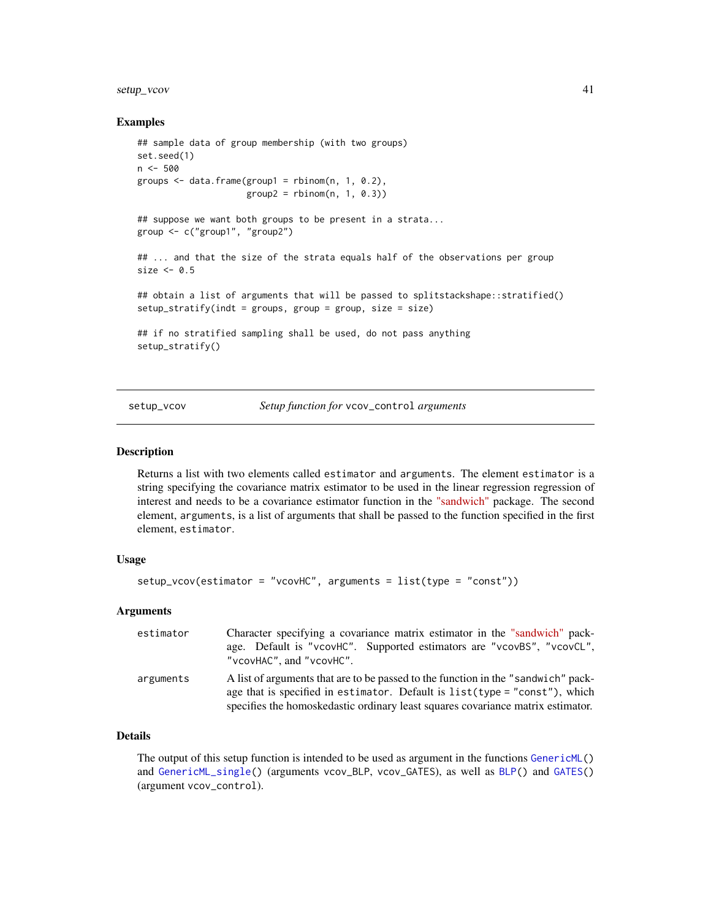# <span id="page-40-0"></span>setup\_vcov 41

# Examples

```
## sample data of group membership (with two groups)
set.seed(1)
n <- 500
groups \leq data.frame(group1 = rbinom(n, 1, 0.2),
                     group2 = rhinom(n, 1, 0.3))## suppose we want both groups to be present in a strata...
group <- c("group1", "group2")
## ... and that the size of the strata equals half of the observations per group
size <-0.5## obtain a list of arguments that will be passed to splitstackshape::stratified()
setup_stratify(indt = groups, group = group, size = size)
## if no stratified sampling shall be used, do not pass anything
setup_stratify()
```
setup\_vcov *Setup function for* vcov\_control *arguments*

#### Description

Returns a list with two elements called estimator and arguments. The element estimator is a string specifying the covariance matrix estimator to be used in the linear regression regression of interest and needs to be a covariance estimator function in the ["sandwich"](https://CRAN.R-project.org/package=sandwich) package. The second element, arguments, is a list of arguments that shall be passed to the function specified in the first element, estimator.

#### Usage

```
setup_vcov(estimator = "vcovHC", arguments = list(type = "const"))
```
# Arguments

| estimator | Character specifying a covariance matrix estimator in the "sandwich" pack-<br>age. Default is "vcovHC". Supported estimators are "vcovBS", "vcovCL",<br>"vcovHAC", and "vcovHC".                                                                     |
|-----------|------------------------------------------------------------------------------------------------------------------------------------------------------------------------------------------------------------------------------------------------------|
| arguments | A list of arguments that are to be passed to the function in the "sandwich" pack-<br>age that is specified in estimator. Default is $list(type = "const"),$ which<br>specifies the homoskedastic ordinary least squares covariance matrix estimator. |

# Details

The output of this setup function is intended to be used as argument in the functions [GenericML\(](#page-6-1)) and [GenericML\\_single\(](#page-13-1)) (arguments vcov\_BLP, vcov\_GATES), as well as [BLP\(](#page-1-1)) and [GATES\(](#page-4-1)) (argument vcov\_control).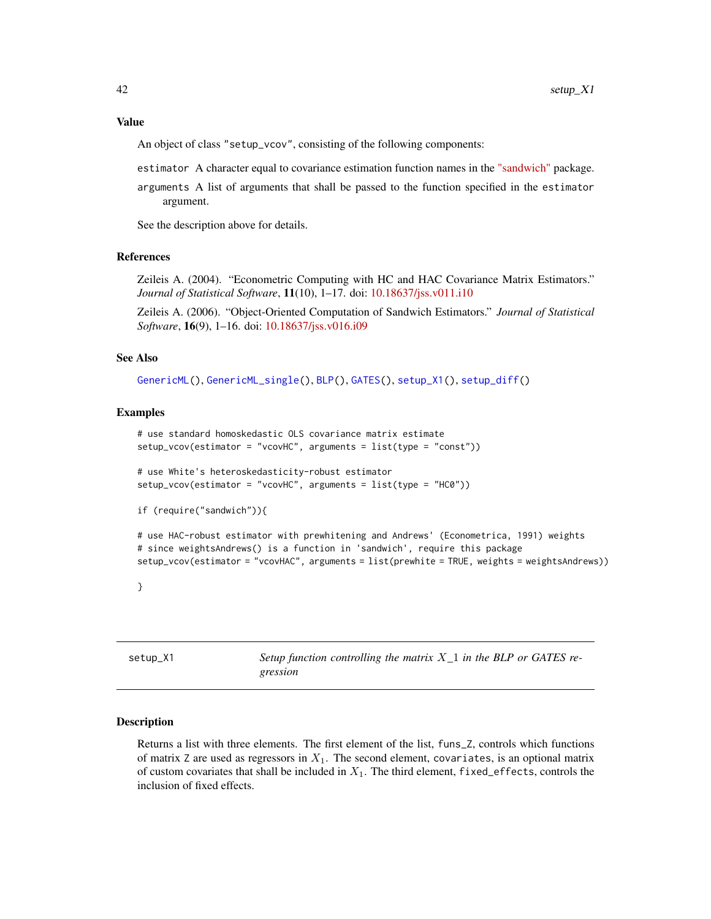#### <span id="page-41-0"></span>Value

An object of class "setup\_vcov", consisting of the following components:

estimator A character equal to covariance estimation function names in the ["sandwich"](https://CRAN.R-project.org/package=sandwich) package.

arguments A list of arguments that shall be passed to the function specified in the estimator argument.

See the description above for details.

# References

Zeileis A. (2004). "Econometric Computing with HC and HAC Covariance Matrix Estimators." *Journal of Statistical Software*, 11(10), 1–17. doi: [10.18637/jss.v011.i10](https://doi.org/10.18637/jss.v011.i10)

Zeileis A. (2006). "Object-Oriented Computation of Sandwich Estimators." *Journal of Statistical Software*, 16(9), 1–16. doi: [10.18637/jss.v016.i09](https://doi.org/10.18637/jss.v016.i09)

# See Also

[GenericML\(](#page-6-1)), [GenericML\\_single\(](#page-13-1)), [BLP\(](#page-1-1)), [GATES\(](#page-4-1)), [setup\\_X1\(](#page-41-1)), [setup\\_diff\(](#page-35-1))

#### Examples

```
# use standard homoskedastic OLS covariance matrix estimate
setup_vcov(estimator = "vcovHC", arguments = list(type = "const"))
# use White's heteroskedasticity-robust estimator
setup_vcov(estimator = "vcovHC", arguments = list(type = "HC0"))
if (require("sandwich")){
# use HAC-robust estimator with prewhitening and Andrews' (Econometrica, 1991) weights
# since weightsAndrews() is a function in 'sandwich', require this package
setup_vcov(estimator = "vcovHAC", arguments = list(prewhite = TRUE, weights = weightsAndrews))
}
```
<span id="page-41-1"></span>setup\_X1 *Setup function controlling the matrix* X*\_*1 *in the BLP or GATES regression*

#### Description

Returns a list with three elements. The first element of the list, funs\_Z, controls which functions of matrix Z are used as regressors in  $X_1$ . The second element, covariates, is an optional matrix of custom covariates that shall be included in  $X_1$ . The third element, fixed\_effects, controls the inclusion of fixed effects.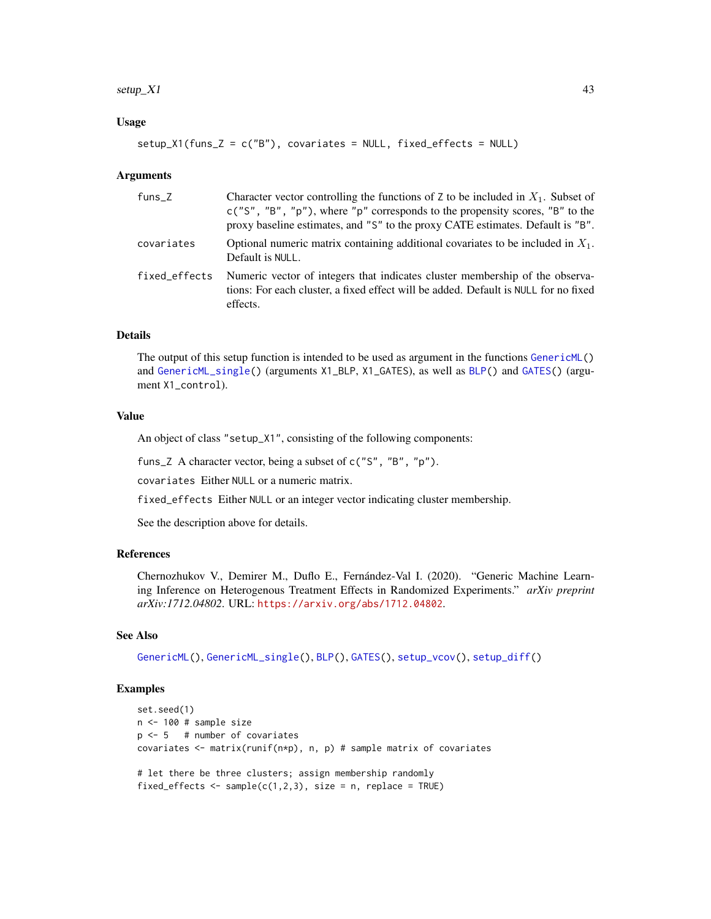#### <span id="page-42-0"></span> $\text{setup}_X$ 1 43

# Usage

```
setup_X1(funs_Z = c("B"), covariates = NULL, fixed_effects = NULL)
```
#### Arguments

| funs_Z        | Character vector controlling the functions of Z to be included in $X_1$ . Subset of<br>$c("S", "B", "p")$ , where "p" corresponds to the propensity scores, "B" to the<br>proxy baseline estimates, and "S" to the proxy CATE estimates. Default is "B". |
|---------------|----------------------------------------------------------------------------------------------------------------------------------------------------------------------------------------------------------------------------------------------------------|
| covariates    | Optional numeric matrix containing additional covariates to be included in $X_1$ .<br>Default is NULL.                                                                                                                                                   |
| fixed effects | Numeric vector of integers that indicates cluster membership of the observa-<br>tions: For each cluster, a fixed effect will be added. Default is NULL for no fixed<br>effects.                                                                          |

# Details

The output of this setup function is intended to be used as argument in the functions [GenericML\(](#page-6-1)) and [GenericML\\_single\(](#page-13-1)) (arguments X1\_BLP, X1\_GATES), as well as [BLP\(](#page-1-1)) and [GATES\(](#page-4-1)) (argument X1\_control).

#### Value

An object of class "setup\_X1", consisting of the following components:

funs\_Z A character vector, being a subset of c("S", "B", "p").

covariates Either NULL or a numeric matrix.

fixed\_effects Either NULL or an integer vector indicating cluster membership.

See the description above for details.

#### References

Chernozhukov V., Demirer M., Duflo E., Fernández-Val I. (2020). "Generic Machine Learning Inference on Heterogenous Treatment Effects in Randomized Experiments." *arXiv preprint arXiv:1712.04802*. URL: <https://arxiv.org/abs/1712.04802>.

# See Also

[GenericML\(](#page-6-1)), [GenericML\\_single\(](#page-13-1)), [BLP\(](#page-1-1)), [GATES\(](#page-4-1)), [setup\\_vcov\(](#page-40-1)), [setup\\_diff\(](#page-35-1))

```
set.seed(1)
n <- 100 # sample size
p \le -5 # number of covariates
covariates \leq matrix(runif(n*p), n, p) # sample matrix of covariates
# let there be three clusters; assign membership randomly
fixed_effects \leq sample(c(1,2,3), size = n, replace = TRUE)
```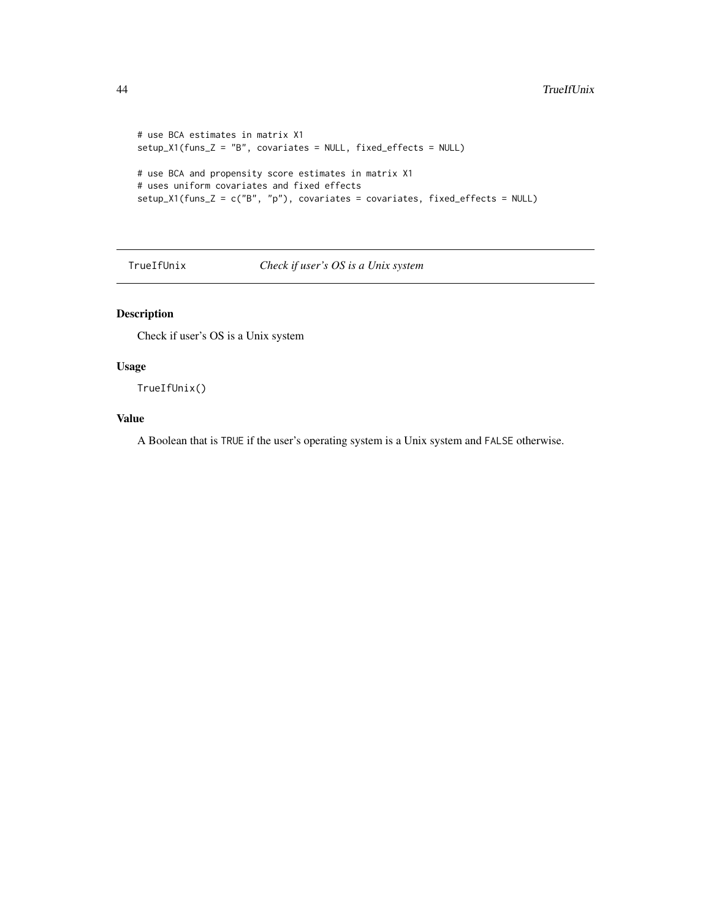```
# use BCA estimates in matrix X1
setup_X1(funs_Z = "B", covariates = NULL, fixed_effects = NULL)
# use BCA and propensity score estimates in matrix X1
# uses uniform covariates and fixed effects
setup_X1(funs_Z = c("B", "p"), covariates = covariates, fixed_effects = NULL)
```
TrueIfUnix *Check if user's OS is a Unix system*

# Description

Check if user's OS is a Unix system

# Usage

TrueIfUnix()

## Value

A Boolean that is TRUE if the user's operating system is a Unix system and FALSE otherwise.

<span id="page-43-0"></span>